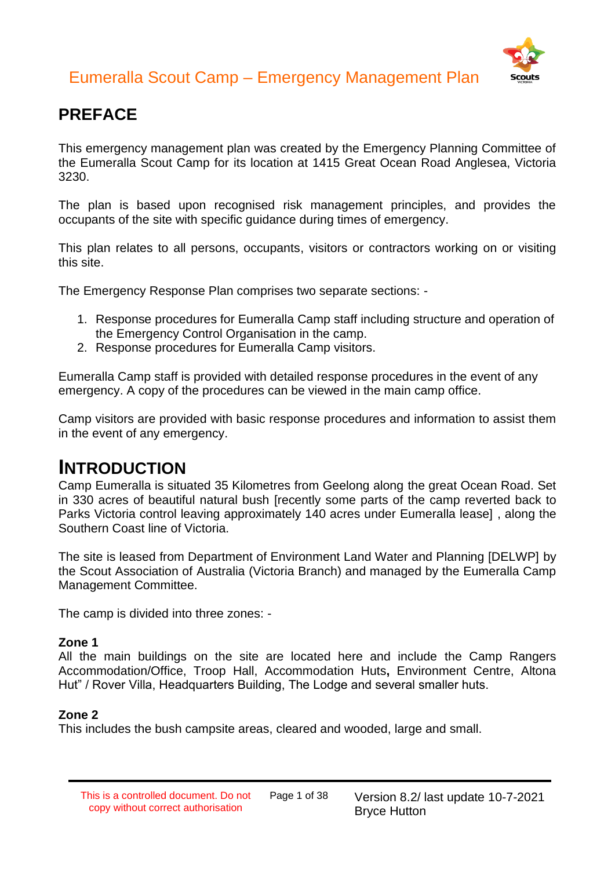

### **PREFACE**

This emergency management plan was created by the Emergency Planning Committee of the Eumeralla Scout Camp for its location at 1415 Great Ocean Road Anglesea, Victoria 3230.

The plan is based upon recognised risk management principles, and provides the occupants of the site with specific guidance during times of emergency.

This plan relates to all persons, occupants, visitors or contractors working on or visiting this site.

The Emergency Response Plan comprises two separate sections: -

- 1. Response procedures for Eumeralla Camp staff including structure and operation of the Emergency Control Organisation in the camp.
- 2. Response procedures for Eumeralla Camp visitors.

Eumeralla Camp staff is provided with detailed response procedures in the event of any emergency. A copy of the procedures can be viewed in the main camp office.

Camp visitors are provided with basic response procedures and information to assist them in the event of any emergency.

### **INTRODUCTION**

Camp Eumeralla is situated 35 Kilometres from Geelong along the great Ocean Road. Set in 330 acres of beautiful natural bush [recently some parts of the camp reverted back to Parks Victoria control leaving approximately 140 acres under Eumeralla lease] , along the Southern Coast line of Victoria.

The site is leased from Department of Environment Land Water and Planning [DELWP] by the Scout Association of Australia (Victoria Branch) and managed by the Eumeralla Camp Management Committee.

The camp is divided into three zones: -

#### **Zone 1**

All the main buildings on the site are located here and include the Camp Rangers Accommodation/Office, Troop Hall, Accommodation Huts**,** Environment Centre, Altona Hut" / Rover Villa, Headquarters Building, The Lodge and several smaller huts.

#### **Zone 2**

This includes the bush campsite areas, cleared and wooded, large and small.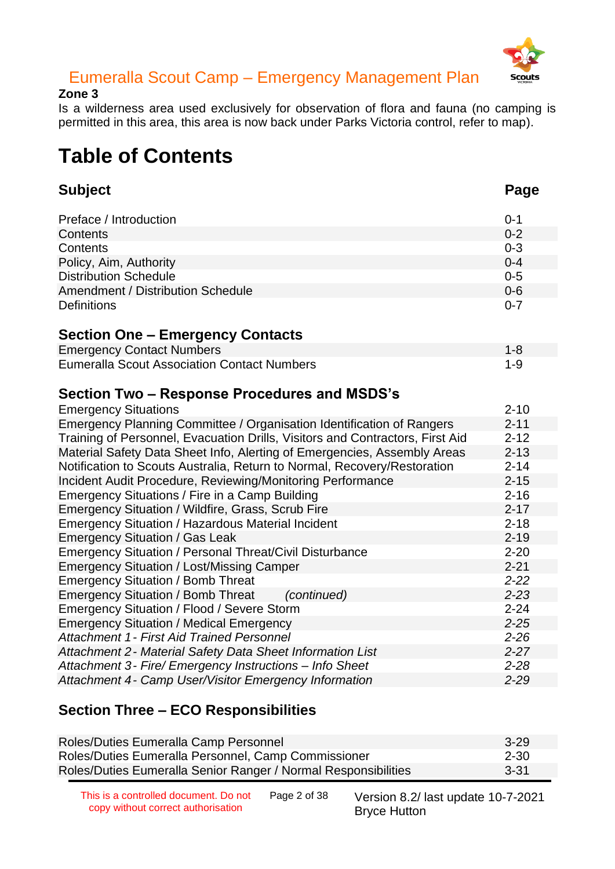

#### **Zone 3**

Is a wilderness area used exclusively for observation of flora and fauna (no camping is permitted in this area, this area is now back under Parks Victoria control, refer to map).

### **Table of Contents**

| <b>Subject</b>                                                                | Page     |
|-------------------------------------------------------------------------------|----------|
| Preface / Introduction                                                        | $0 - 1$  |
| Contents                                                                      | $0 - 2$  |
| Contents                                                                      | $0 - 3$  |
| Policy, Aim, Authority                                                        | $0 - 4$  |
| <b>Distribution Schedule</b>                                                  | $0 - 5$  |
| Amendment / Distribution Schedule                                             | $0 - 6$  |
| <b>Definitions</b>                                                            | $0 - 7$  |
| <b>Section One – Emergency Contacts</b>                                       |          |
| <b>Emergency Contact Numbers</b>                                              | $1 - 8$  |
| <b>Eumeralla Scout Association Contact Numbers</b>                            | $1 - 9$  |
| Section Two – Response Procedures and MSDS's                                  |          |
| <b>Emergency Situations</b>                                                   | $2 - 10$ |
| Emergency Planning Committee / Organisation Identification of Rangers         | $2 - 11$ |
| Training of Personnel, Evacuation Drills, Visitors and Contractors, First Aid | $2 - 12$ |
| Material Safety Data Sheet Info, Alerting of Emergencies, Assembly Areas      | $2 - 13$ |
| Notification to Scouts Australia, Return to Normal, Recovery/Restoration      | $2 - 14$ |
| Incident Audit Procedure, Reviewing/Monitoring Performance                    | $2 - 15$ |
| Emergency Situations / Fire in a Camp Building                                | $2 - 16$ |
| Emergency Situation / Wildfire, Grass, Scrub Fire                             | $2 - 17$ |
| <b>Emergency Situation / Hazardous Material Incident</b>                      | $2 - 18$ |
| <b>Emergency Situation / Gas Leak</b>                                         | $2 - 19$ |
| <b>Emergency Situation / Personal Threat/Civil Disturbance</b>                | $2 - 20$ |
| <b>Emergency Situation / Lost/Missing Camper</b>                              | $2 - 21$ |
| <b>Emergency Situation / Bomb Threat</b>                                      | $2 - 22$ |
| <b>Emergency Situation / Bomb Threat</b><br>(continued)                       | $2 - 23$ |
| Emergency Situation / Flood / Severe Storm                                    | $2 - 24$ |
| <b>Emergency Situation / Medical Emergency</b>                                | $2 - 25$ |
| <b>Attachment 1 - First Aid Trained Personnel</b>                             | $2 - 26$ |
| Attachment 2 - Material Safety Data Sheet Information List                    | $2 - 27$ |
| Attachment 3- Fire/ Emergency Instructions - Info Sheet                       | $2 - 28$ |
| Attachment 4- Camp User/Visitor Emergency Information                         | $2 - 29$ |

#### **Section Three – ECO Responsibilities**

| Roles/Duties Eumeralla Camp Personnel                          | $3 - 29$ |
|----------------------------------------------------------------|----------|
| Roles/Duties Eumeralla Personnel, Camp Commissioner            | 2-30     |
| Roles/Duties Eumeralla Senior Ranger / Normal Responsibilities | $3 - 31$ |

This is a controlled document. Do not copy without correct authorisation

Page 2 of 38 Version 8.2/ last update 10-7-2021 Bryce Hutton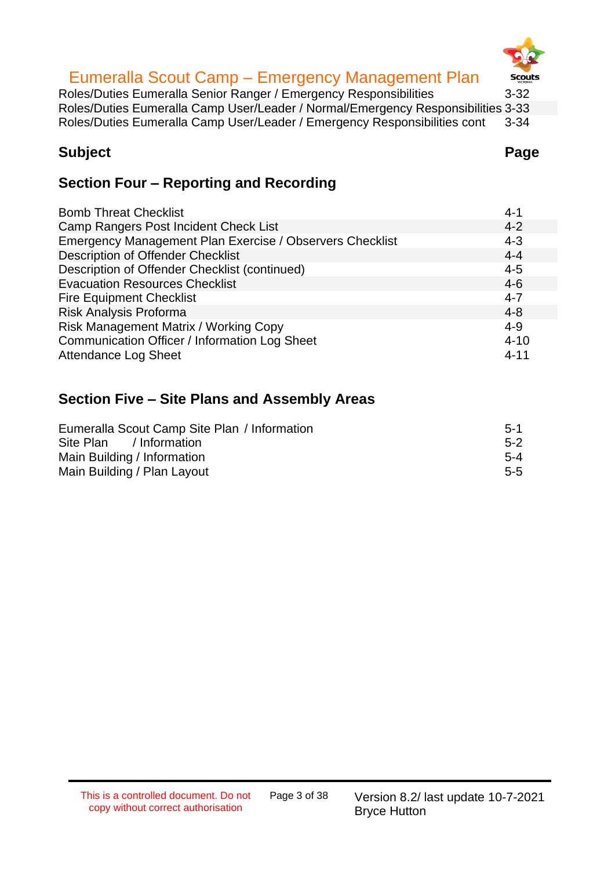# **Scouts**

#### Eumeralla Scout Camp – Emergency Management Plan

Roles/Duties Eumeralla Senior Ranger / Emergency Responsibilities 3-32 Roles/Duties Eumeralla Camp User/Leader / Normal/Emergency Responsibilities 3-33 Roles/Duties Eumeralla Camp User/Leader / Emergency Responsibilities cont 3-34

#### **Subject Page**

#### **Section Four – Reporting and Recording**

| <b>Bomb Threat Checklist</b>                             | $4 - 1$  |
|----------------------------------------------------------|----------|
| Camp Rangers Post Incident Check List                    | $4 - 2$  |
| Emergency Management Plan Exercise / Observers Checklist | $4 - 3$  |
| <b>Description of Offender Checklist</b>                 | $4 - 4$  |
| Description of Offender Checklist (continued)            | $4 - 5$  |
| <b>Evacuation Resources Checklist</b>                    | $4-6$    |
| <b>Fire Equipment Checklist</b>                          | $4 - 7$  |
| Risk Analysis Proforma                                   | $4 - 8$  |
| Risk Management Matrix / Working Copy                    | $4 - 9$  |
| Communication Officer / Information Log Sheet            | $4 - 10$ |
| <b>Attendance Log Sheet</b>                              | $4 - 11$ |

#### **Section Five – Site Plans and Assembly Areas**

| Eumeralla Scout Camp Site Plan / Information | $5-1$   |
|----------------------------------------------|---------|
| Site Plan / Information                      | $5-2$   |
| Main Building / Information                  | $5 - 4$ |
| Main Building / Plan Layout                  | $5 - 5$ |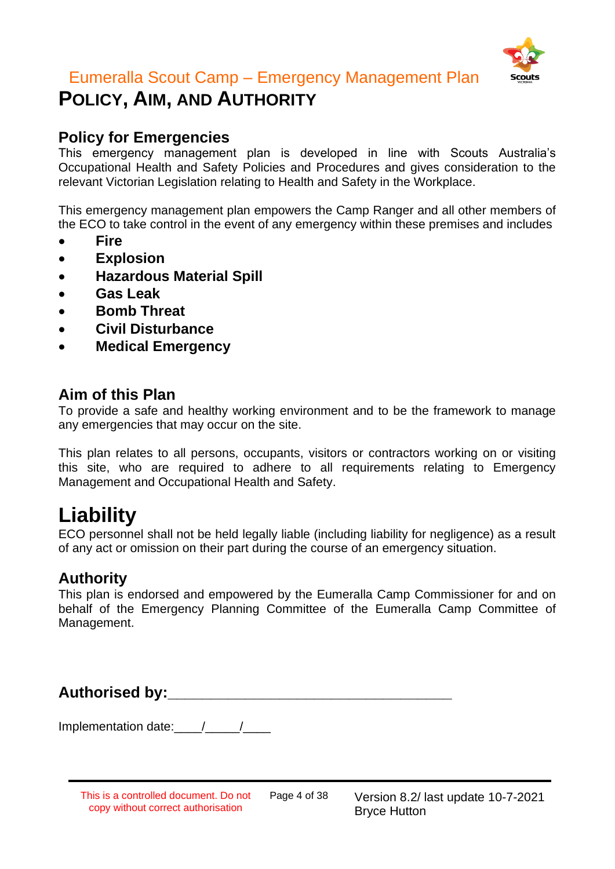

### **POLICY, AIM, AND AUTHORITY**

#### **Policy for Emergencies**

This emergency management plan is developed in line with Scouts Australia's Occupational Health and Safety Policies and Procedures and gives consideration to the relevant Victorian Legislation relating to Health and Safety in the Workplace.

This emergency management plan empowers the Camp Ranger and all other members of the ECO to take control in the event of any emergency within these premises and includes

- **Fire**
- **Explosion**
- **Hazardous Material Spill**
- **Gas Leak**
- **Bomb Threat**
- **Civil Disturbance**
- **Medical Emergency**

#### **Aim of this Plan**

To provide a safe and healthy working environment and to be the framework to manage any emergencies that may occur on the site.

This plan relates to all persons, occupants, visitors or contractors working on or visiting this site, who are required to adhere to all requirements relating to Emergency Management and Occupational Health and Safety.

### **Liability**

ECO personnel shall not be held legally liable (including liability for negligence) as a result of any act or omission on their part during the course of an emergency situation.

#### **Authority**

This plan is endorsed and empowered by the Eumeralla Camp Commissioner for and on behalf of the Emergency Planning Committee of the Eumeralla Camp Committee of Management.

Authorised by: **Authorised by:** 

Implementation date: 11

This is a controlled document. Do not copy without correct authorisation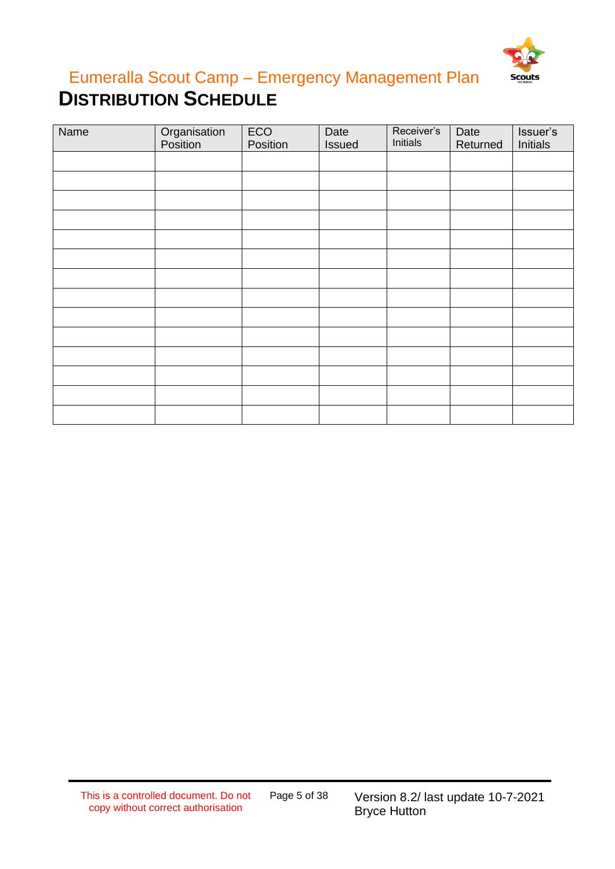

### Eumeralla Scout Camp – Emergency Management Plan **DISTRIBUTION SCHEDULE**

| Name | Organisation<br>Position | ECO<br>Position | Date<br>Issued | Receiver's<br>Initials | Date<br>Returned | Issuer's<br>Initials |
|------|--------------------------|-----------------|----------------|------------------------|------------------|----------------------|
|      |                          |                 |                |                        |                  |                      |
|      |                          |                 |                |                        |                  |                      |
|      |                          |                 |                |                        |                  |                      |
|      |                          |                 |                |                        |                  |                      |
|      |                          |                 |                |                        |                  |                      |
|      |                          |                 |                |                        |                  |                      |
|      |                          |                 |                |                        |                  |                      |
|      |                          |                 |                |                        |                  |                      |
|      |                          |                 |                |                        |                  |                      |
|      |                          |                 |                |                        |                  |                      |
|      |                          |                 |                |                        |                  |                      |
|      |                          |                 |                |                        |                  |                      |
|      |                          |                 |                |                        |                  |                      |
|      |                          |                 |                |                        |                  |                      |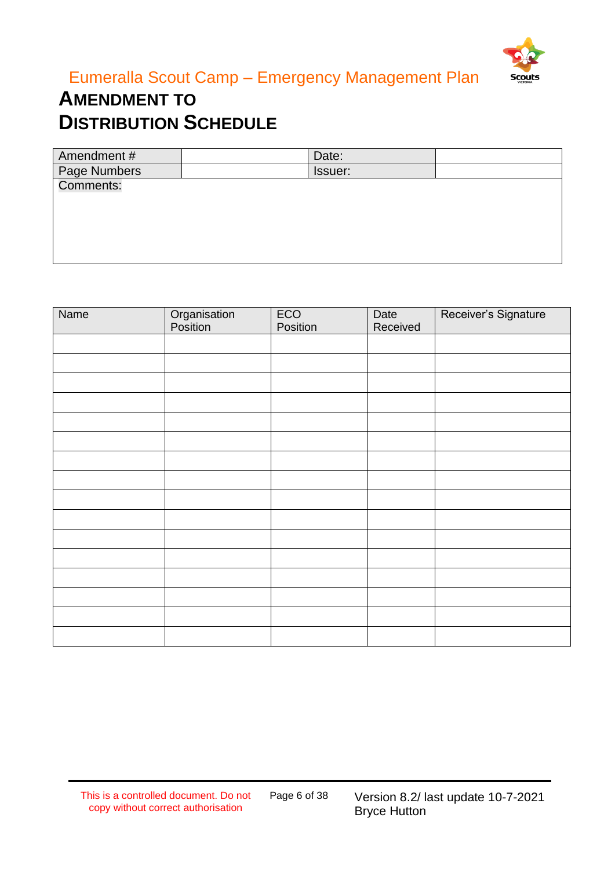

### **AMENDMENT TO DISTRIBUTION SCHEDULE**

| Amendment#   | Date:   |  |
|--------------|---------|--|
| Page Numbers | Issuer: |  |
| Comments:    |         |  |
|              |         |  |
|              |         |  |
|              |         |  |
|              |         |  |
|              |         |  |

| Name | Organisation<br>Position | ECO<br>Position | Date<br>Received | Receiver's Signature |
|------|--------------------------|-----------------|------------------|----------------------|
|      |                          |                 |                  |                      |
|      |                          |                 |                  |                      |
|      |                          |                 |                  |                      |
|      |                          |                 |                  |                      |
|      |                          |                 |                  |                      |
|      |                          |                 |                  |                      |
|      |                          |                 |                  |                      |
|      |                          |                 |                  |                      |
|      |                          |                 |                  |                      |
|      |                          |                 |                  |                      |
|      |                          |                 |                  |                      |
|      |                          |                 |                  |                      |
|      |                          |                 |                  |                      |
|      |                          |                 |                  |                      |
|      |                          |                 |                  |                      |
|      |                          |                 |                  |                      |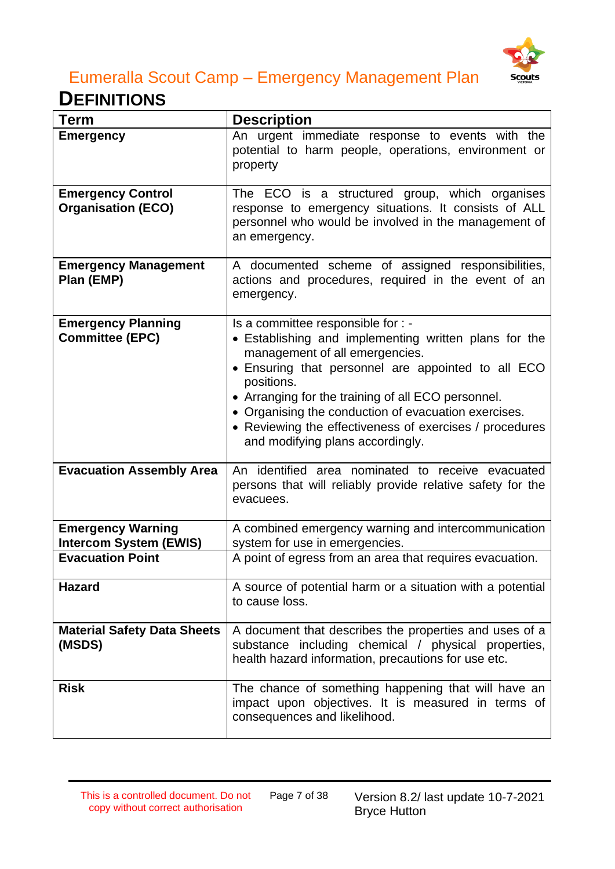

### **DEFINITIONS**

| Term                                                      | <b>Description</b>                                                                                                                                                                                                                                                                                                                                                                                             |
|-----------------------------------------------------------|----------------------------------------------------------------------------------------------------------------------------------------------------------------------------------------------------------------------------------------------------------------------------------------------------------------------------------------------------------------------------------------------------------------|
| <b>Emergency</b>                                          | An urgent immediate response to events with the<br>potential to harm people, operations, environment or<br>property                                                                                                                                                                                                                                                                                            |
| <b>Emergency Control</b><br><b>Organisation (ECO)</b>     | The ECO is a structured group, which organises<br>response to emergency situations. It consists of ALL<br>personnel who would be involved in the management of<br>an emergency.                                                                                                                                                                                                                                |
| <b>Emergency Management</b><br>Plan (EMP)                 | A documented scheme of assigned responsibilities,<br>actions and procedures, required in the event of an<br>emergency.                                                                                                                                                                                                                                                                                         |
| <b>Emergency Planning</b><br><b>Committee (EPC)</b>       | Is a committee responsible for : -<br>• Establishing and implementing written plans for the<br>management of all emergencies.<br>• Ensuring that personnel are appointed to all ECO<br>positions.<br>• Arranging for the training of all ECO personnel.<br>• Organising the conduction of evacuation exercises.<br>• Reviewing the effectiveness of exercises / procedures<br>and modifying plans accordingly. |
| <b>Evacuation Assembly Area</b>                           | An identified area nominated to receive evacuated<br>persons that will reliably provide relative safety for the<br>evacuees.                                                                                                                                                                                                                                                                                   |
| <b>Emergency Warning</b><br><b>Intercom System (EWIS)</b> | A combined emergency warning and intercommunication<br>system for use in emergencies.                                                                                                                                                                                                                                                                                                                          |
| <b>Evacuation Point</b>                                   | A point of egress from an area that requires evacuation.                                                                                                                                                                                                                                                                                                                                                       |
| <b>Hazard</b>                                             | A source of potential harm or a situation with a potential<br>to cause loss.                                                                                                                                                                                                                                                                                                                                   |
| <b>Material Safety Data Sheets</b><br>(MSDS)              | A document that describes the properties and uses of a<br>substance including chemical / physical properties,<br>health hazard information, precautions for use etc.                                                                                                                                                                                                                                           |
| <b>Risk</b>                                               | The chance of something happening that will have an<br>impact upon objectives. It is measured in terms of<br>consequences and likelihood.                                                                                                                                                                                                                                                                      |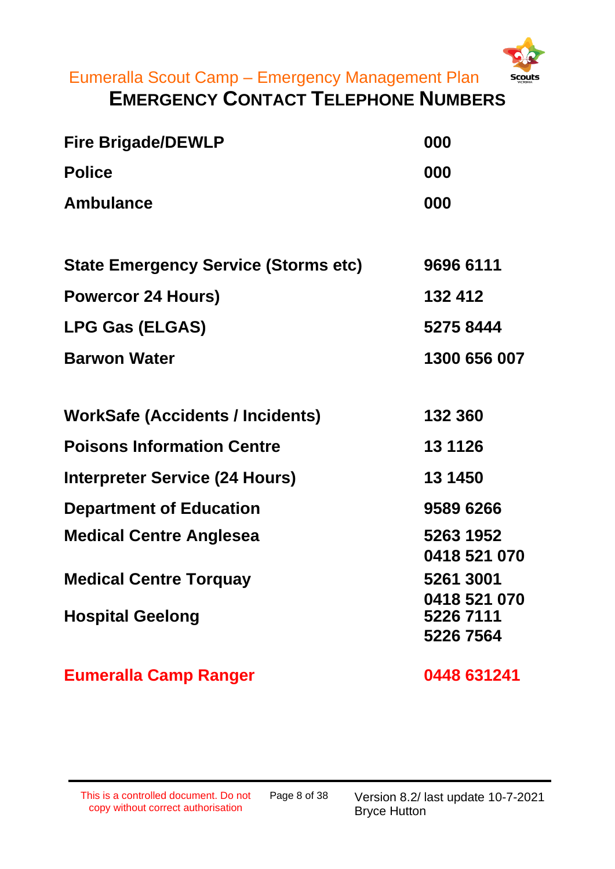

### **EMERGENCY CONTACT TELEPHONE NUMBERS**

| <b>Fire Brigade/DEWLP</b>                   | 000                       |
|---------------------------------------------|---------------------------|
| <b>Police</b>                               | 000                       |
| <b>Ambulance</b>                            | 000                       |
|                                             |                           |
| <b>State Emergency Service (Storms etc)</b> | 9696 6111                 |
| <b>Powercor 24 Hours)</b>                   | 132 412                   |
| <b>LPG Gas (ELGAS)</b>                      | 5275 8444                 |
| <b>Barwon Water</b>                         | 1300 656 007              |
|                                             |                           |
| <b>WorkSafe (Accidents / Incidents)</b>     | 132 360                   |
| <b>Poisons Information Centre</b>           | 13 11 26                  |
| <b>Interpreter Service (24 Hours)</b>       | 13 1450                   |
| <b>Department of Education</b>              | 9589 6266                 |
| <b>Medical Centre Anglesea</b>              | 5263 1952<br>0418 521 070 |
| <b>Medical Centre Torquay</b>               | 5261 3001                 |
| <b>Hospital Geelong</b>                     | 0418 521 070<br>5226 7111 |
|                                             | 5226 7564                 |
|                                             |                           |

Eumeralla Camp Ranger **0448 631241**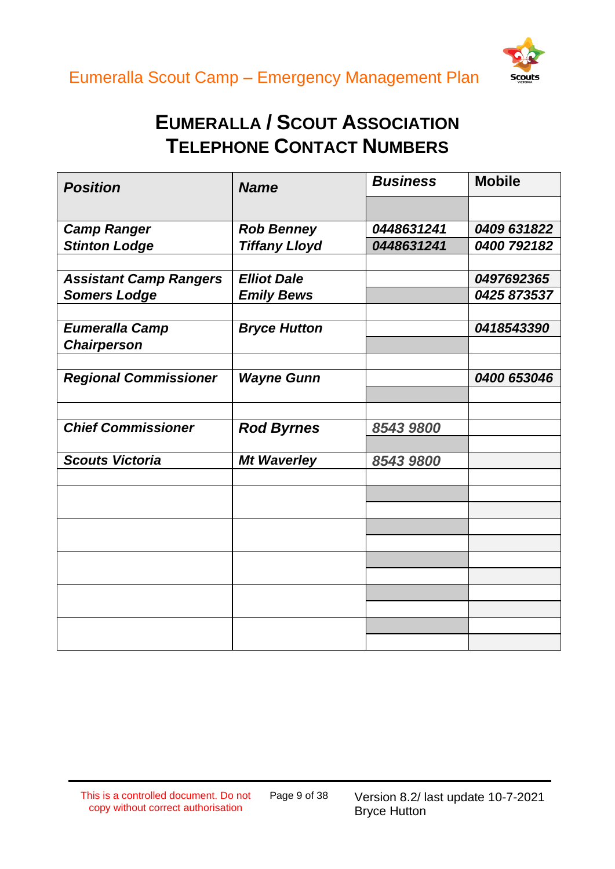



### **EUMERALLA / SCOUT ASSOCIATION TELEPHONE CONTACT NUMBERS**

| <b>Position</b>               | <b>Name</b>          | <b>Business</b> | <b>Mobile</b> |
|-------------------------------|----------------------|-----------------|---------------|
|                               |                      |                 |               |
| <b>Camp Ranger</b>            | <b>Rob Benney</b>    | 0448631241      | 0409 631822   |
| <b>Stinton Lodge</b>          | <b>Tiffany Lloyd</b> | 0448631241      | 0400 792182   |
|                               |                      |                 |               |
| <b>Assistant Camp Rangers</b> | <b>Elliot Dale</b>   |                 | 0497692365    |
| <b>Somers Lodge</b>           | <b>Emily Bews</b>    |                 | 0425 873537   |
|                               |                      |                 |               |
| <b>Eumeralla Camp</b>         | <b>Bryce Hutton</b>  |                 | 0418543390    |
| <b>Chairperson</b>            |                      |                 |               |
|                               |                      |                 |               |
| <b>Regional Commissioner</b>  | <b>Wayne Gunn</b>    |                 | 0400 653046   |
|                               |                      |                 |               |
|                               |                      |                 |               |
| <b>Chief Commissioner</b>     | <b>Rod Byrnes</b>    | 8543 9800       |               |
| <b>Scouts Victoria</b>        | <b>Mt Waverley</b>   | 8543 9800       |               |
|                               |                      |                 |               |
|                               |                      |                 |               |
|                               |                      |                 |               |
|                               |                      |                 |               |
|                               |                      |                 |               |
|                               |                      |                 |               |
|                               |                      |                 |               |
|                               |                      |                 |               |
|                               |                      |                 |               |
|                               |                      |                 |               |
|                               |                      |                 |               |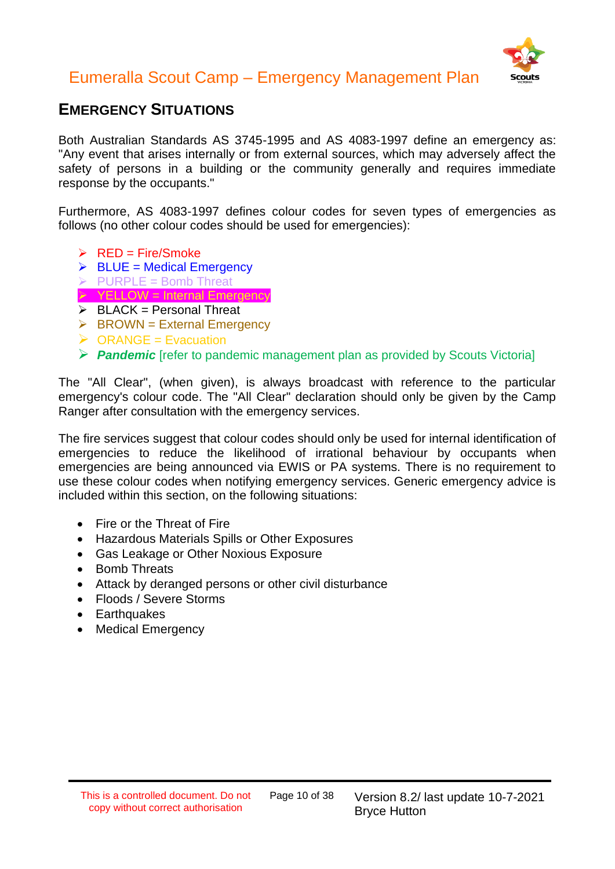

#### **EMERGENCY SITUATIONS**

Both Australian Standards AS 3745-1995 and AS 4083-1997 define an emergency as: "Any event that arises internally or from external sources, which may adversely affect the safety of persons in a building or the community generally and requires immediate response by the occupants."

Furthermore, AS 4083-1997 defines colour codes for seven types of emergencies as follows (no other colour codes should be used for emergencies):

- $\triangleright$  RED = Fire/Smoke
- $\triangleright$  BLUE = Medical Emergency
- $\triangleright$  PURPLE = Bomb Threat
- $\triangleright$  YELLOW = Internal Emergency
- $\triangleright$  BLACK = Personal Threat
- $\triangleright$  BROWN = External Emergency
- $\triangleright$  ORANGE = Evacuation
- ➢ *Pandemic* [refer to pandemic management plan as provided by Scouts Victoria]

The "All Clear", (when given), is always broadcast with reference to the particular emergency's colour code. The "All Clear" declaration should only be given by the Camp Ranger after consultation with the emergency services.

The fire services suggest that colour codes should only be used for internal identification of emergencies to reduce the likelihood of irrational behaviour by occupants when emergencies are being announced via EWIS or PA systems. There is no requirement to use these colour codes when notifying emergency services. Generic emergency advice is included within this section, on the following situations:

- Fire or the Threat of Fire
- Hazardous Materials Spills or Other Exposures
- Gas Leakage or Other Noxious Exposure
- Bomb Threats
- Attack by deranged persons or other civil disturbance
- Floods / Severe Storms
- Earthquakes
- Medical Emergency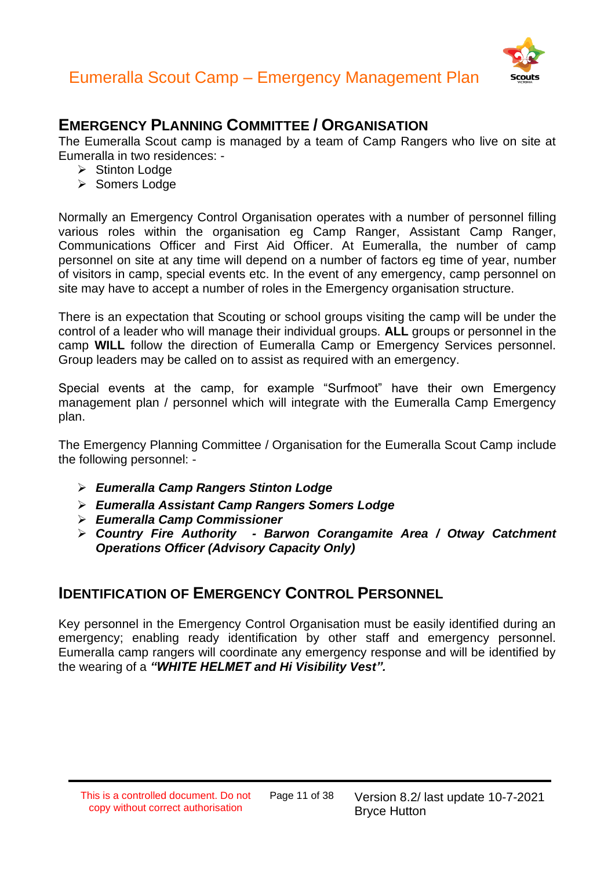



#### **EMERGENCY PLANNING COMMITTEE / ORGANISATION**

The Eumeralla Scout camp is managed by a team of Camp Rangers who live on site at Eumeralla in two residences: -

- ➢ Stinton Lodge
- ➢ Somers Lodge

Normally an Emergency Control Organisation operates with a number of personnel filling various roles within the organisation eg Camp Ranger, Assistant Camp Ranger, Communications Officer and First Aid Officer. At Eumeralla, the number of camp personnel on site at any time will depend on a number of factors eg time of year, number of visitors in camp, special events etc. In the event of any emergency, camp personnel on site may have to accept a number of roles in the Emergency organisation structure.

There is an expectation that Scouting or school groups visiting the camp will be under the control of a leader who will manage their individual groups. **ALL** groups or personnel in the camp **WILL** follow the direction of Eumeralla Camp or Emergency Services personnel. Group leaders may be called on to assist as required with an emergency.

Special events at the camp, for example "Surfmoot" have their own Emergency management plan / personnel which will integrate with the Eumeralla Camp Emergency plan.

The Emergency Planning Committee / Organisation for the Eumeralla Scout Camp include the following personnel: -

- ➢ *Eumeralla Camp Rangers Stinton Lodge*
- ➢ *Eumeralla Assistant Camp Rangers Somers Lodge*
- ➢ *Eumeralla Camp Commissioner*
- ➢ *Country Fire Authority - Barwon Corangamite Area / Otway Catchment Operations Officer (Advisory Capacity Only)*

#### **IDENTIFICATION OF EMERGENCY CONTROL PERSONNEL**

Key personnel in the Emergency Control Organisation must be easily identified during an emergency; enabling ready identification by other staff and emergency personnel. Eumeralla camp rangers will coordinate any emergency response and will be identified by the wearing of a *"WHITE HELMET and Hi Visibility Vest".*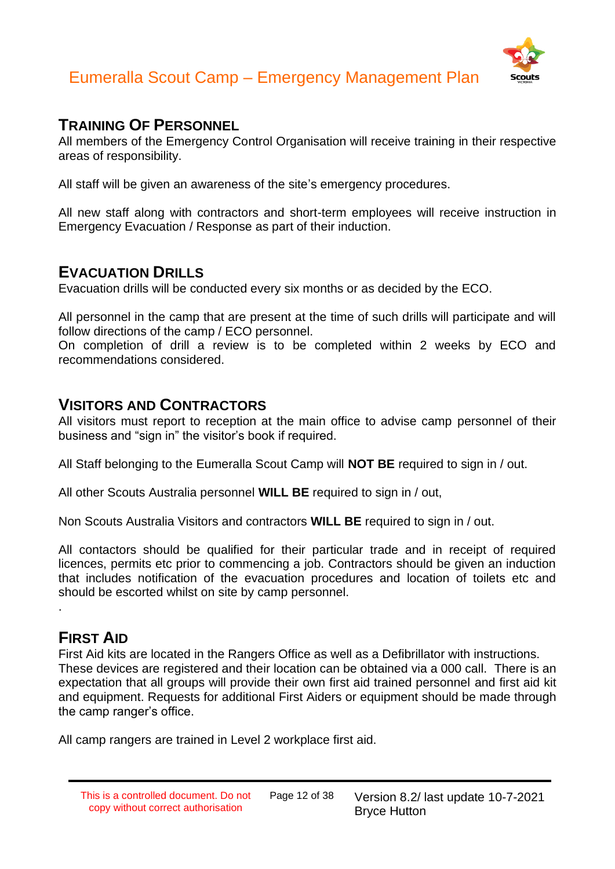

#### **TRAINING OF PERSONNEL**

All members of the Emergency Control Organisation will receive training in their respective areas of responsibility.

All staff will be given an awareness of the site's emergency procedures.

All new staff along with contractors and short-term employees will receive instruction in Emergency Evacuation / Response as part of their induction.

#### **EVACUATION DRILLS**

Evacuation drills will be conducted every six months or as decided by the ECO.

All personnel in the camp that are present at the time of such drills will participate and will follow directions of the camp / ECO personnel.

On completion of drill a review is to be completed within 2 weeks by ECO and recommendations considered.

#### **VISITORS AND CONTRACTORS**

All visitors must report to reception at the main office to advise camp personnel of their business and "sign in" the visitor's book if required.

All Staff belonging to the Eumeralla Scout Camp will **NOT BE** required to sign in / out.

All other Scouts Australia personnel **WILL BE** required to sign in / out,

Non Scouts Australia Visitors and contractors **WILL BE** required to sign in / out.

All contactors should be qualified for their particular trade and in receipt of required licences, permits etc prior to commencing a job. Contractors should be given an induction that includes notification of the evacuation procedures and location of toilets etc and should be escorted whilst on site by camp personnel.

#### **FIRST AID**

.

First Aid kits are located in the Rangers Office as well as a Defibrillator with instructions. These devices are registered and their location can be obtained via a 000 call. There is an expectation that all groups will provide their own first aid trained personnel and first aid kit and equipment. Requests for additional First Aiders or equipment should be made through the camp ranger's office.

All camp rangers are trained in Level 2 workplace first aid.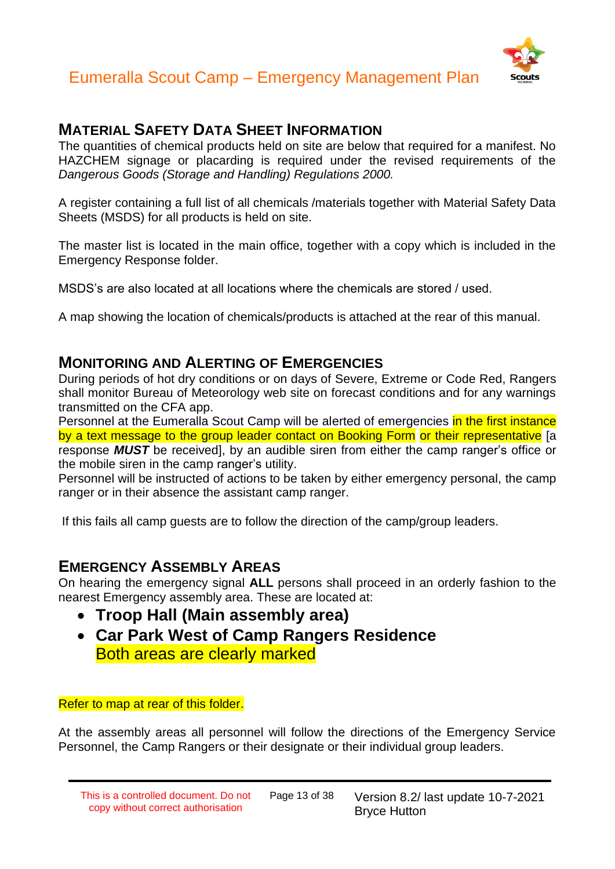

#### **MATERIAL SAFETY DATA SHEET INFORMATION**

The quantities of chemical products held on site are below that required for a manifest. No HAZCHEM signage or placarding is required under the revised requirements of the *Dangerous Goods (Storage and Handling) Regulations 2000.*

A register containing a full list of all chemicals /materials together with Material Safety Data Sheets (MSDS) for all products is held on site.

The master list is located in the main office, together with a copy which is included in the Emergency Response folder.

MSDS's are also located at all locations where the chemicals are stored / used.

A map showing the location of chemicals/products is attached at the rear of this manual.

#### **MONITORING AND ALERTING OF EMERGENCIES**

During periods of hot dry conditions or on days of Severe, Extreme or Code Red, Rangers shall monitor Bureau of Meteorology web site on forecast conditions and for any warnings transmitted on the CFA app.

Personnel at the Eumeralla Scout Camp will be alerted of emergencies in the first instance by a text message to the group leader contact on Booking Form or their representative [a response *MUST* be received], by an audible siren from either the camp ranger's office or the mobile siren in the camp ranger's utility.

Personnel will be instructed of actions to be taken by either emergency personal, the camp ranger or in their absence the assistant camp ranger.

If this fails all camp guests are to follow the direction of the camp/group leaders.

#### **EMERGENCY ASSEMBLY AREAS**

On hearing the emergency signal **ALL** persons shall proceed in an orderly fashion to the nearest Emergency assembly area. These are located at:

- **Troop Hall (Main assembly area)**
- **Car Park West of Camp Rangers Residence** Both areas are clearly marked

#### Refer to map at rear of this folder.

At the assembly areas all personnel will follow the directions of the Emergency Service Personnel, the Camp Rangers or their designate or their individual group leaders.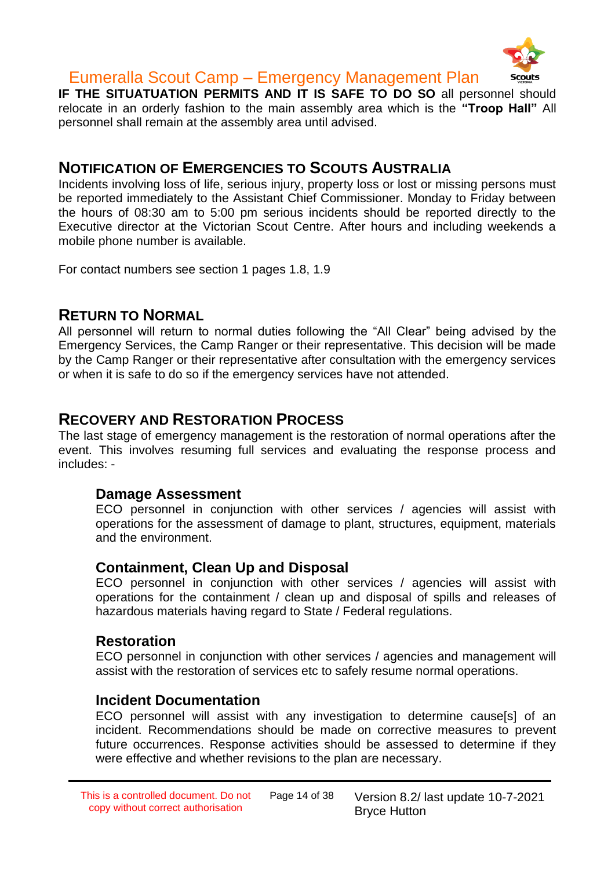

**IF THE SITUATUATION PERMITS AND IT IS SAFE TO DO SO all personnel should** relocate in an orderly fashion to the main assembly area which is the **"Troop Hall"** All personnel shall remain at the assembly area until advised.

#### **NOTIFICATION OF EMERGENCIES TO SCOUTS AUSTRALIA**

Incidents involving loss of life, serious injury, property loss or lost or missing persons must be reported immediately to the Assistant Chief Commissioner. Monday to Friday between the hours of 08:30 am to 5:00 pm serious incidents should be reported directly to the Executive director at the Victorian Scout Centre. After hours and including weekends a mobile phone number is available.

For contact numbers see section 1 pages 1.8, 1.9

#### **RETURN TO NORMAL**

All personnel will return to normal duties following the "All Clear" being advised by the Emergency Services, the Camp Ranger or their representative. This decision will be made by the Camp Ranger or their representative after consultation with the emergency services or when it is safe to do so if the emergency services have not attended.

#### **RECOVERY AND RESTORATION PROCESS**

The last stage of emergency management is the restoration of normal operations after the event. This involves resuming full services and evaluating the response process and includes: -

#### **Damage Assessment**

ECO personnel in conjunction with other services / agencies will assist with operations for the assessment of damage to plant, structures, equipment, materials and the environment.

#### **Containment, Clean Up and Disposal**

ECO personnel in conjunction with other services / agencies will assist with operations for the containment / clean up and disposal of spills and releases of hazardous materials having regard to State / Federal regulations.

#### **Restoration**

ECO personnel in conjunction with other services / agencies and management will assist with the restoration of services etc to safely resume normal operations.

#### **Incident Documentation**

ECO personnel will assist with any investigation to determine cause[s] of an incident. Recommendations should be made on corrective measures to prevent future occurrences. Response activities should be assessed to determine if they were effective and whether revisions to the plan are necessary.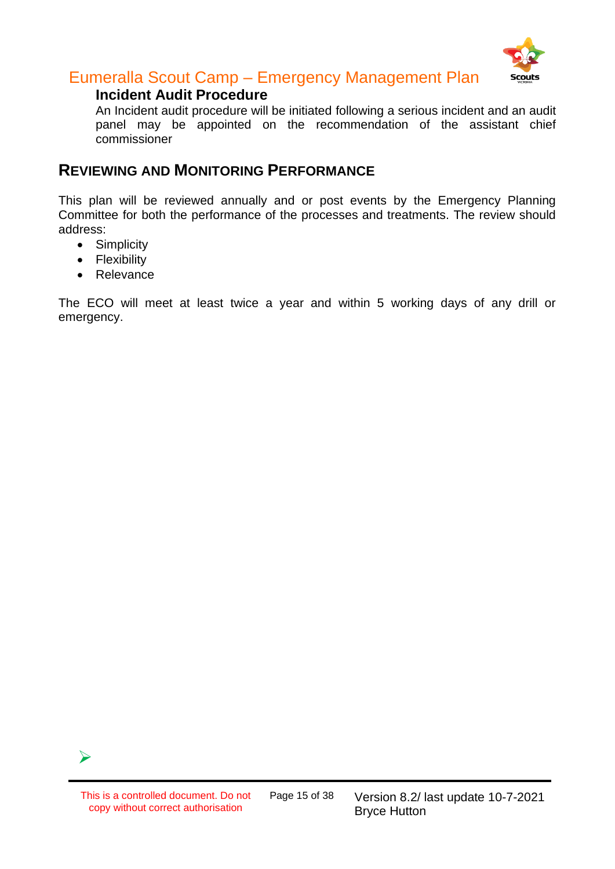

#### **Incident Audit Procedure**

An Incident audit procedure will be initiated following a serious incident and an audit panel may be appointed on the recommendation of the assistant chief commissioner

#### **REVIEWING AND MONITORING PERFORMANCE**

This plan will be reviewed annually and or post events by the Emergency Planning Committee for both the performance of the processes and treatments. The review should address:

- Simplicity
- Flexibility
- Relevance

The ECO will meet at least twice a year and within 5 working days of any drill or emergency.

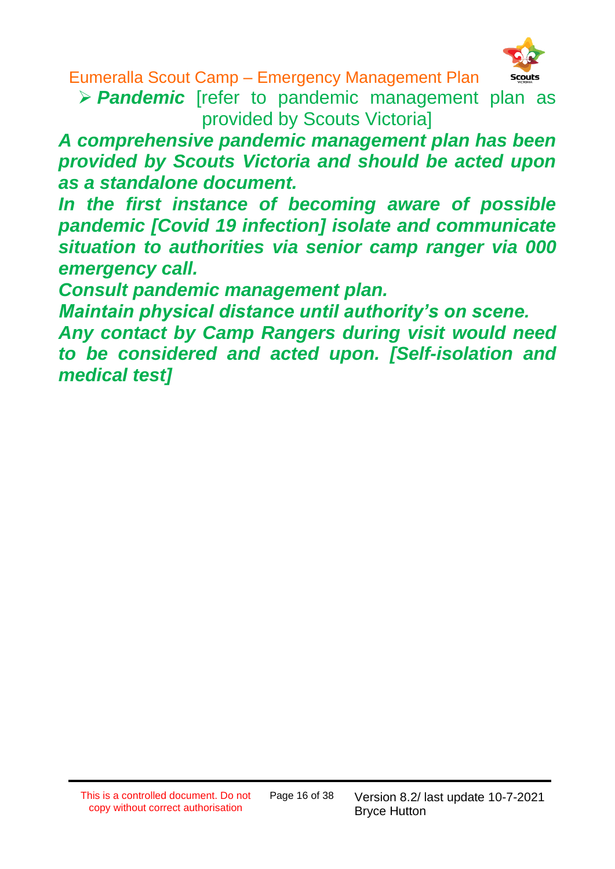

➢ *Pandemic* [refer to pandemic management plan as provided by Scouts Victoria]

*A comprehensive pandemic management plan has been provided by Scouts Victoria and should be acted upon as a standalone document.*

*In the first instance of becoming aware of possible pandemic [Covid 19 infection] isolate and communicate situation to authorities via senior camp ranger via 000 emergency call.*

*Consult pandemic management plan.*

*Maintain physical distance until authority's on scene.*

*Any contact by Camp Rangers during visit would need to be considered and acted upon. [Self-isolation and medical test]*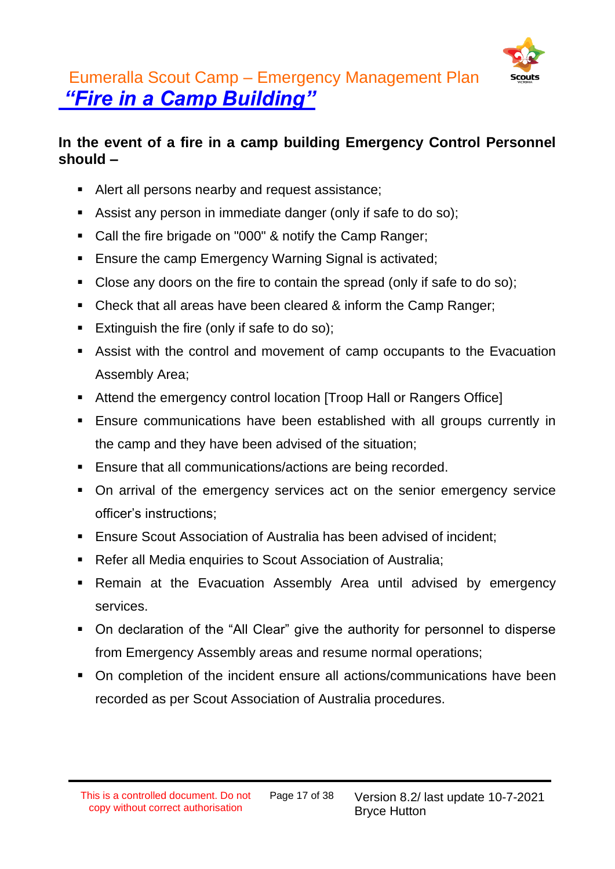

### Eumeralla Scout Camp – Emergency Management Plan *"Fire in a Camp Building"*

#### **In the event of a fire in a camp building Emergency Control Personnel should –**

- Alert all persons nearby and request assistance;
- Assist any person in immediate danger (only if safe to do so);
- Call the fire brigade on "000" & notify the Camp Ranger;
- Ensure the camp Emergency Warning Signal is activated;
- Close any doors on the fire to contain the spread (only if safe to do so);
- Check that all areas have been cleared & inform the Camp Ranger;
- Extinguish the fire (only if safe to do so);
- Assist with the control and movement of camp occupants to the Evacuation Assembly Area;
- Attend the emergency control location [Troop Hall or Rangers Office]
- **Ensure communications have been established with all groups currently in** the camp and they have been advised of the situation;
- Ensure that all communications/actions are being recorded.
- On arrival of the emergency services act on the senior emergency service officer's instructions;
- Ensure Scout Association of Australia has been advised of incident:
- Refer all Media enquiries to Scout Association of Australia;
- **EXA** Remain at the Evacuation Assembly Area until advised by emergency services.
- On declaration of the "All Clear" give the authority for personnel to disperse from Emergency Assembly areas and resume normal operations;
- On completion of the incident ensure all actions/communications have been recorded as per Scout Association of Australia procedures.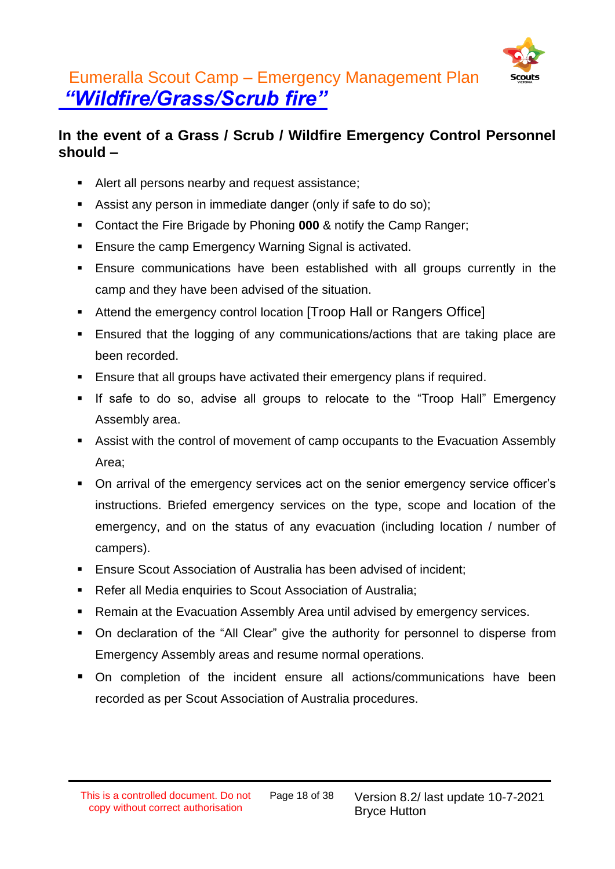

### Eumeralla Scout Camp – Emergency Management Plan *"Wildfire/Grass/Scrub fire"*

#### **In the event of a Grass / Scrub / Wildfire Emergency Control Personnel should –**

- Alert all persons nearby and request assistance;
- Assist any person in immediate danger (only if safe to do so);
- Contact the Fire Brigade by Phoning **000** & notify the Camp Ranger;
- Ensure the camp Emergency Warning Signal is activated.
- Ensure communications have been established with all groups currently in the camp and they have been advised of the situation.
- Attend the emergency control location [Troop Hall or Rangers Office]
- Ensured that the logging of any communications/actions that are taking place are been recorded.
- Ensure that all groups have activated their emergency plans if required.
- **■** If safe to do so, advise all groups to relocate to the "Troop Hall" Emergency Assembly area.
- Assist with the control of movement of camp occupants to the Evacuation Assembly Area;
- On arrival of the emergency services act on the senior emergency service officer's instructions. Briefed emergency services on the type, scope and location of the emergency, and on the status of any evacuation (including location / number of campers).
- Ensure Scout Association of Australia has been advised of incident;
- Refer all Media enquiries to Scout Association of Australia;
- Remain at the Evacuation Assembly Area until advised by emergency services.
- On declaration of the "All Clear" give the authority for personnel to disperse from Emergency Assembly areas and resume normal operations.
- On completion of the incident ensure all actions/communications have been recorded as per Scout Association of Australia procedures.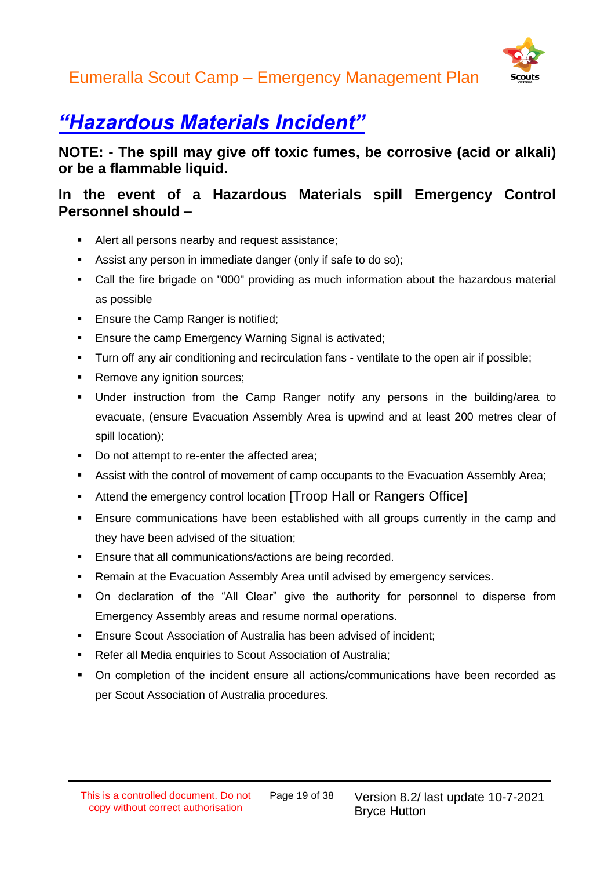

### *"Hazardous Materials Incident"*

**NOTE: - The spill may give off toxic fumes, be corrosive (acid or alkali) or be a flammable liquid.**

#### **In the event of a Hazardous Materials spill Emergency Control Personnel should –**

- Alert all persons nearby and request assistance;
- Assist any person in immediate danger (only if safe to do so);
- Call the fire brigade on "000" providing as much information about the hazardous material as possible
- Ensure the Camp Ranger is notified;
- Ensure the camp Emergency Warning Signal is activated:
- **•** Turn off any air conditioning and recirculation fans ventilate to the open air if possible;
- Remove any ignition sources;
- Under instruction from the Camp Ranger notify any persons in the building/area to evacuate, (ensure Evacuation Assembly Area is upwind and at least 200 metres clear of spill location);
- Do not attempt to re-enter the affected area;
- **■** Assist with the control of movement of camp occupants to the Evacuation Assembly Area;
- Attend the emergency control location [Troop Hall or Rangers Office]
- **Ensure communications have been established with all groups currently in the camp and** they have been advised of the situation;
- Ensure that all communications/actions are being recorded.
- Remain at the Evacuation Assembly Area until advised by emergency services.
- On declaration of the "All Clear" give the authority for personnel to disperse from Emergency Assembly areas and resume normal operations.
- **Ensure Scout Association of Australia has been advised of incident;**
- Refer all Media enquiries to Scout Association of Australia;
- On completion of the incident ensure all actions/communications have been recorded as per Scout Association of Australia procedures.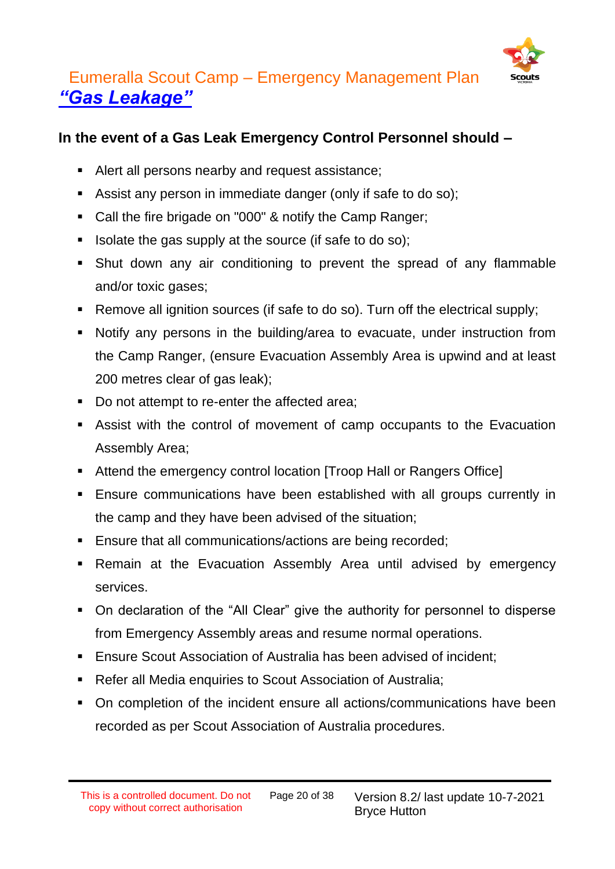

### Eumeralla Scout Camp – Emergency Management Plan *"Gas Leakage"*

#### **In the event of a Gas Leak Emergency Control Personnel should –**

- Alert all persons nearby and request assistance:
- Assist any person in immediate danger (only if safe to do so);
- Call the fire brigade on "000" & notify the Camp Ranger;
- Isolate the gas supply at the source (if safe to do so);
- **•** Shut down any air conditioning to prevent the spread of any flammable and/or toxic gases;
- Remove all ignition sources (if safe to do so). Turn off the electrical supply;
- Notify any persons in the building/area to evacuate, under instruction from the Camp Ranger, (ensure Evacuation Assembly Area is upwind and at least 200 metres clear of gas leak);
- Do not attempt to re-enter the affected area;
- Assist with the control of movement of camp occupants to the Evacuation Assembly Area;
- Attend the emergency control location [Troop Hall or Rangers Office]
- **Ensure communications have been established with all groups currently in** the camp and they have been advised of the situation;
- Ensure that all communications/actions are being recorded;
- **EXA** Remain at the Evacuation Assembly Area until advised by emergency services.
- On declaration of the "All Clear" give the authority for personnel to disperse from Emergency Assembly areas and resume normal operations.
- **Ensure Scout Association of Australia has been advised of incident;**
- Refer all Media enquiries to Scout Association of Australia;
- On completion of the incident ensure all actions/communications have been recorded as per Scout Association of Australia procedures.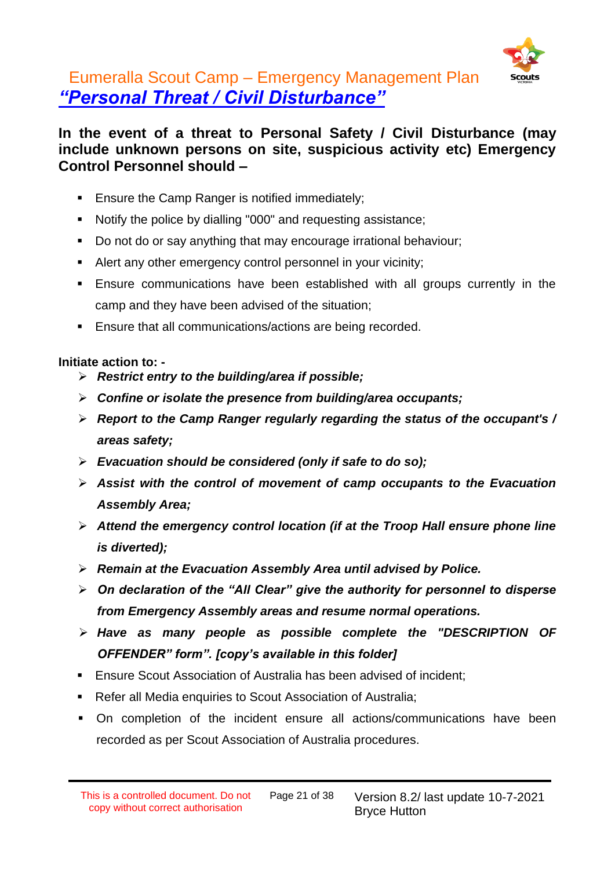

### Eumeralla Scout Camp – Emergency Management Plan *"Personal Threat / Civil Disturbance"*

#### **In the event of a threat to Personal Safety / Civil Disturbance (may include unknown persons on site, suspicious activity etc) Emergency Control Personnel should –**

- Ensure the Camp Ranger is notified immediately;
- Notify the police by dialling "000" and requesting assistance;
- Do not do or say anything that may encourage irrational behaviour;
- Alert any other emergency control personnel in your vicinity;
- **Ensure communications have been established with all groups currently in the** camp and they have been advised of the situation;
- Ensure that all communications/actions are being recorded.

#### **Initiate action to: -**

- ➢ *Restrict entry to the building/area if possible;*
- ➢ *Confine or isolate the presence from building/area occupants;*
- ➢ *Report to the Camp Ranger regularly regarding the status of the occupant's / areas safety;*
- ➢ *Evacuation should be considered (only if safe to do so);*
- ➢ *Assist with the control of movement of camp occupants to the Evacuation Assembly Area;*
- ➢ *Attend the emergency control location (if at the Troop Hall ensure phone line is diverted);*
- ➢ *Remain at the Evacuation Assembly Area until advised by Police.*
- ➢ *On declaration of the "All Clear" give the authority for personnel to disperse from Emergency Assembly areas and resume normal operations.*
- ➢ *Have as many people as possible complete the "DESCRIPTION OF OFFENDER" form". [copy's available in this folder]*
- **Ensure Scout Association of Australia has been advised of incident;**
- Refer all Media enquiries to Scout Association of Australia;
- On completion of the incident ensure all actions/communications have been recorded as per Scout Association of Australia procedures.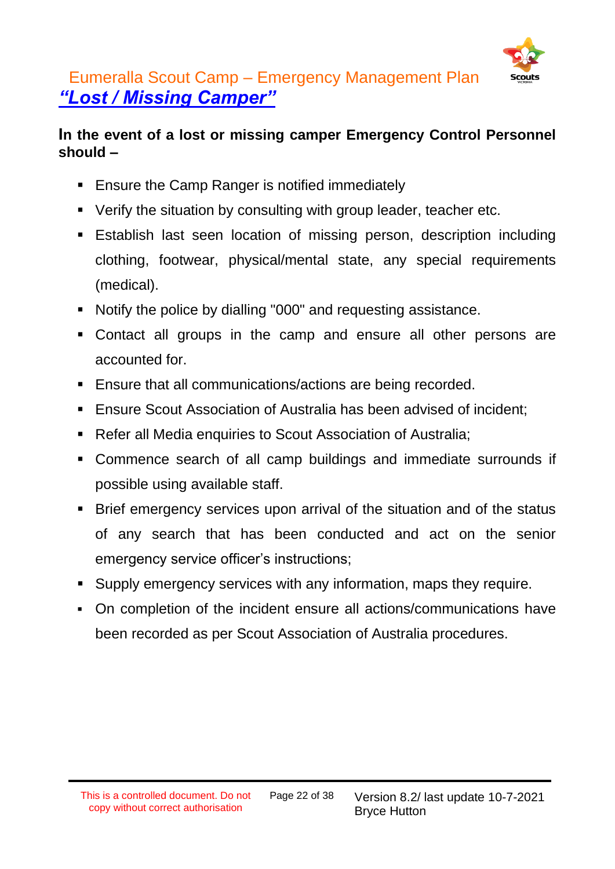

### Eumeralla Scout Camp – Emergency Management Plan *"Lost / Missing Camper"*

#### **In the event of a lost or missing camper Emergency Control Personnel should –**

- Ensure the Camp Ranger is notified immediately
- Verify the situation by consulting with group leader, teacher etc.
- **Establish last seen location of missing person, description including** clothing, footwear, physical/mental state, any special requirements (medical).
- Notify the police by dialling "000" and requesting assistance.
- Contact all groups in the camp and ensure all other persons are accounted for.
- Ensure that all communications/actions are being recorded.
- **Ensure Scout Association of Australia has been advised of incident;**
- Refer all Media enquiries to Scout Association of Australia;
- Commence search of all camp buildings and immediate surrounds if possible using available staff.
- Brief emergency services upon arrival of the situation and of the status of any search that has been conducted and act on the senior emergency service officer's instructions;
- Supply emergency services with any information, maps they require.
- On completion of the incident ensure all actions/communications have been recorded as per Scout Association of Australia procedures.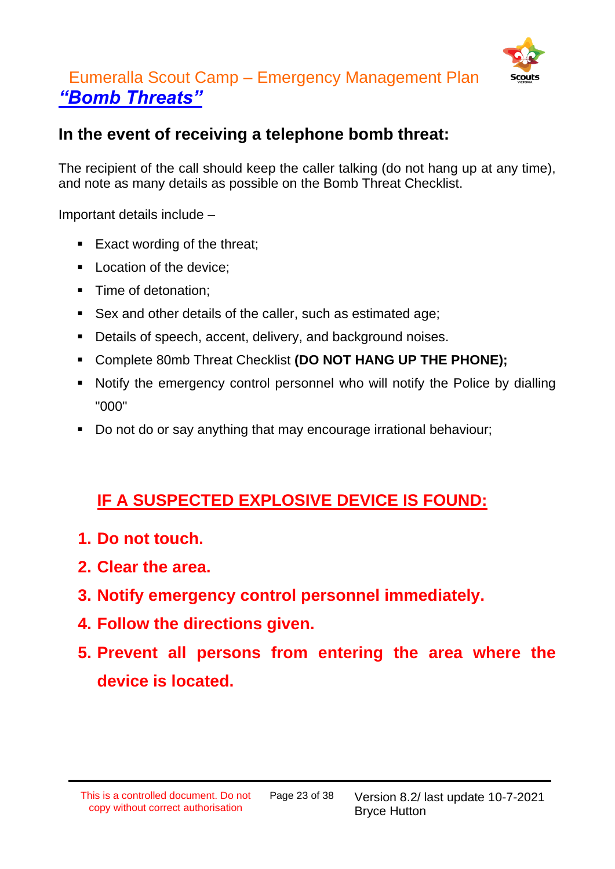

### Eumeralla Scout Camp – Emergency Management Plan *"Bomb Threats"*

#### **In the event of receiving a telephone bomb threat:**

The recipient of the call should keep the caller talking (do not hang up at any time), and note as many details as possible on the Bomb Threat Checklist.

Important details include –

- Exact wording of the threat:
- Location of the device:
- Time of detonation:
- Sex and other details of the caller, such as estimated age:
- Details of speech, accent, delivery, and background noises.
- Complete 80mb Threat Checklist **(DO NOT HANG UP THE PHONE);**
- Notify the emergency control personnel who will notify the Police by dialling "000"
- Do not do or say anything that may encourage irrational behaviour;

### **IF A SUSPECTED EXPLOSIVE DEVICE IS FOUND:**

- **1. Do not touch.**
- **2. Clear the area.**
- **3. Notify emergency control personnel immediately.**
- **4. Follow the directions given.**
- **5. Prevent all persons from entering the area where the device is located.**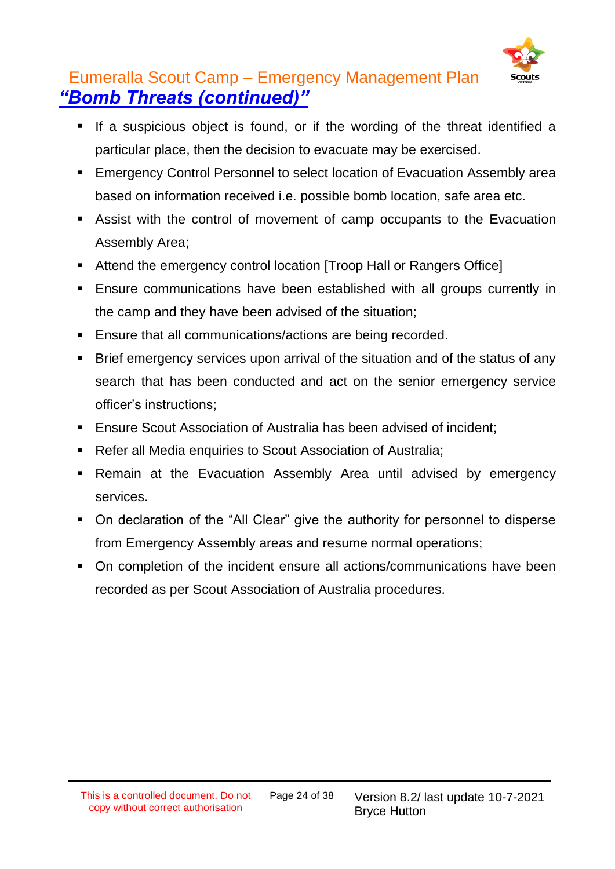

### Eumeralla Scout Camp – Emergency Management Plan *"Bomb Threats (continued)"*

- If a suspicious object is found, or if the wording of the threat identified a particular place, then the decision to evacuate may be exercised.
- **Emergency Control Personnel to select location of Evacuation Assembly area** based on information received i.e. possible bomb location, safe area etc.
- Assist with the control of movement of camp occupants to the Evacuation Assembly Area;
- Attend the emergency control location [Troop Hall or Rangers Office]
- **Ensure communications have been established with all groups currently in** the camp and they have been advised of the situation;
- Ensure that all communications/actions are being recorded.
- Brief emergency services upon arrival of the situation and of the status of any search that has been conducted and act on the senior emergency service officer's instructions;
- **Ensure Scout Association of Australia has been advised of incident;**
- Refer all Media enquiries to Scout Association of Australia;
- **EXA** Remain at the Evacuation Assembly Area until advised by emergency services.
- On declaration of the "All Clear" give the authority for personnel to disperse from Emergency Assembly areas and resume normal operations;
- On completion of the incident ensure all actions/communications have been recorded as per Scout Association of Australia procedures.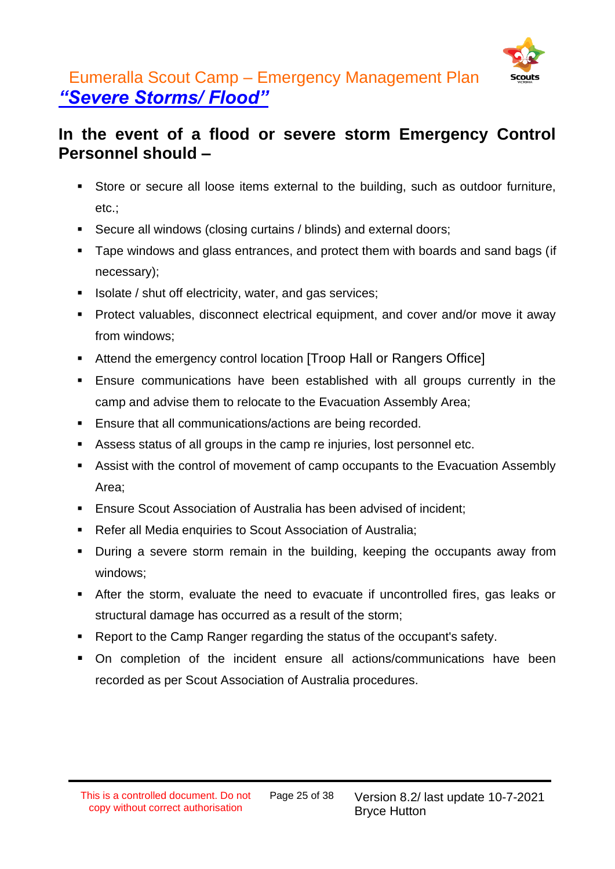

### Eumeralla Scout Camp – Emergency Management Plan *"Severe Storms/ Flood"*

### **In the event of a flood or severe storm Emergency Control Personnel should –**

- Store or secure all loose items external to the building, such as outdoor furniture, etc.;
- Secure all windows (closing curtains / blinds) and external doors;
- Tape windows and glass entrances, and protect them with boards and sand bags (if necessary);
- Isolate / shut off electricity, water, and gas services;
- Protect valuables, disconnect electrical equipment, and cover and/or move it away from windows;
- Attend the emergency control location [Troop Hall or Rangers Office]
- Ensure communications have been established with all groups currently in the camp and advise them to relocate to the Evacuation Assembly Area;
- Ensure that all communications/actions are being recorded.
- Assess status of all groups in the camp re injuries, lost personnel etc.
- Assist with the control of movement of camp occupants to the Evacuation Assembly Area;
- Ensure Scout Association of Australia has been advised of incident;
- Refer all Media enquiries to Scout Association of Australia;
- During a severe storm remain in the building, keeping the occupants away from windows;
- After the storm, evaluate the need to evacuate if uncontrolled fires, gas leaks or structural damage has occurred as a result of the storm;
- Report to the Camp Ranger regarding the status of the occupant's safety.
- On completion of the incident ensure all actions/communications have been recorded as per Scout Association of Australia procedures.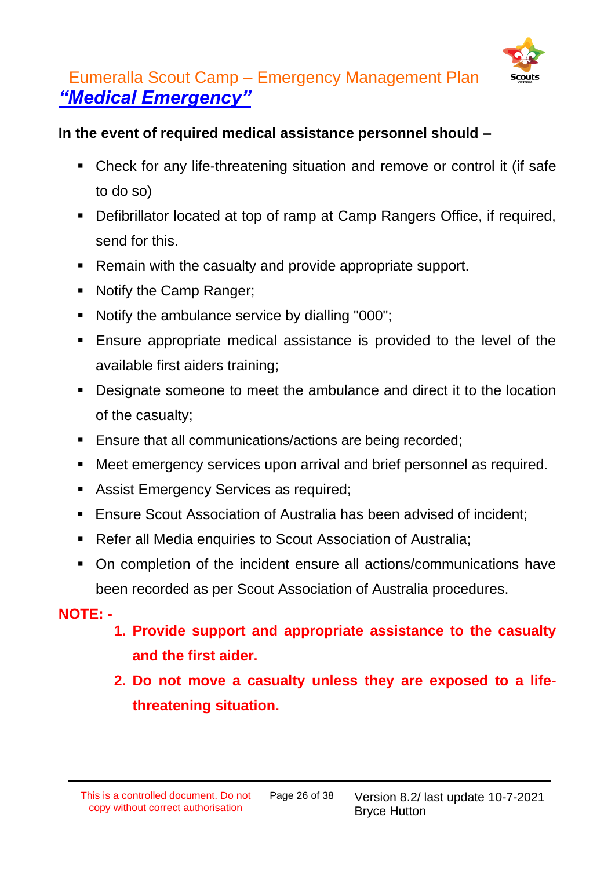

### Eumeralla Scout Camp – Emergency Management Plan *"Medical Emergency"*

#### **In the event of required medical assistance personnel should –**

- Check for any life-threatening situation and remove or control it (if safe to do so)
- Defibrillator located at top of ramp at Camp Rangers Office, if required, send for this.
- Remain with the casualty and provide appropriate support.
- Notify the Camp Ranger;
- Notify the ambulance service by dialling "000";
- Ensure appropriate medical assistance is provided to the level of the available first aiders training;
- Designate someone to meet the ambulance and direct it to the location of the casualty;
- Ensure that all communications/actions are being recorded;
- Meet emergency services upon arrival and brief personnel as required.
- Assist Emergency Services as required;
- **Ensure Scout Association of Australia has been advised of incident;**
- Refer all Media enquiries to Scout Association of Australia;
- On completion of the incident ensure all actions/communications have been recorded as per Scout Association of Australia procedures.

#### **NOTE: -**

- **1. Provide support and appropriate assistance to the casualty and the first aider.**
- **2. Do not move a casualty unless they are exposed to a lifethreatening situation.**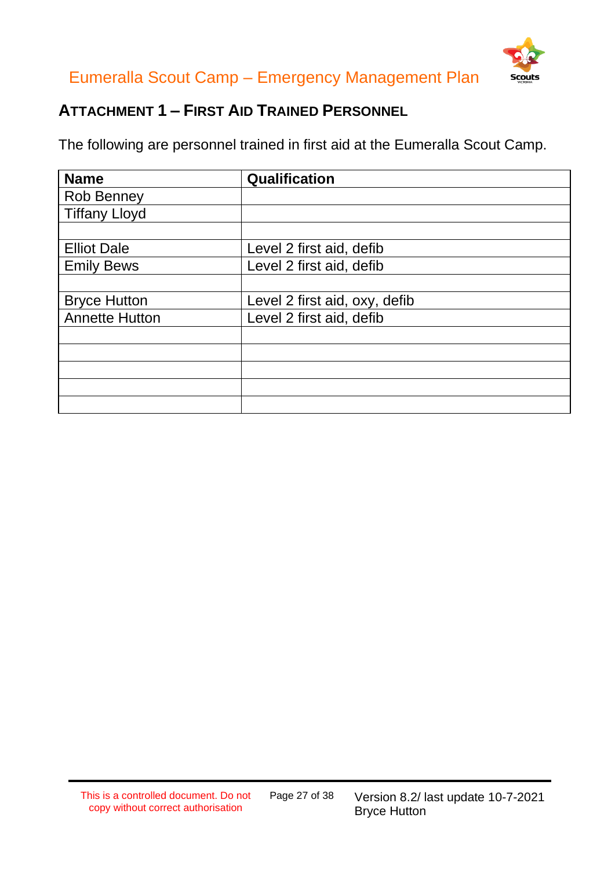



### **ATTACHMENT 1 – FIRST AID TRAINED PERSONNEL**

The following are personnel trained in first aid at the Eumeralla Scout Camp.

| <b>Name</b>           | Qualification                 |
|-----------------------|-------------------------------|
| <b>Rob Benney</b>     |                               |
| <b>Tiffany Lloyd</b>  |                               |
|                       |                               |
| <b>Elliot Dale</b>    | Level 2 first aid, defib      |
| <b>Emily Bews</b>     | Level 2 first aid, defib      |
|                       |                               |
| <b>Bryce Hutton</b>   | Level 2 first aid, oxy, defib |
| <b>Annette Hutton</b> | Level 2 first aid, defib      |
|                       |                               |
|                       |                               |
|                       |                               |
|                       |                               |
|                       |                               |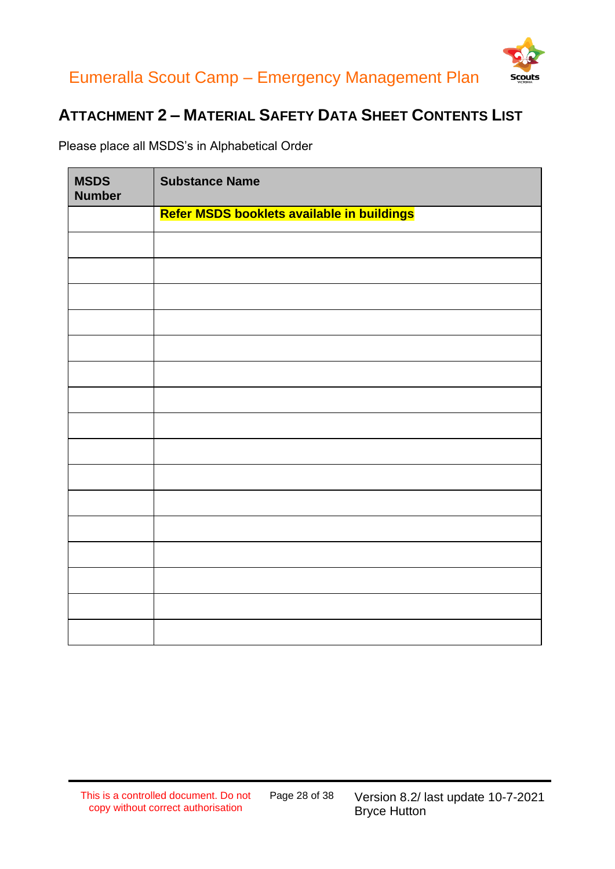



#### **ATTACHMENT 2 – MATERIAL SAFETY DATA SHEET CONTENTS LIST**

Please place all MSDS's in Alphabetical Order

| <b>MSDS</b><br><b>Number</b> | <b>Substance Name</b>                      |
|------------------------------|--------------------------------------------|
|                              | Refer MSDS booklets available in buildings |
|                              |                                            |
|                              |                                            |
|                              |                                            |
|                              |                                            |
|                              |                                            |
|                              |                                            |
|                              |                                            |
|                              |                                            |
|                              |                                            |
|                              |                                            |
|                              |                                            |
|                              |                                            |
|                              |                                            |
|                              |                                            |
|                              |                                            |
|                              |                                            |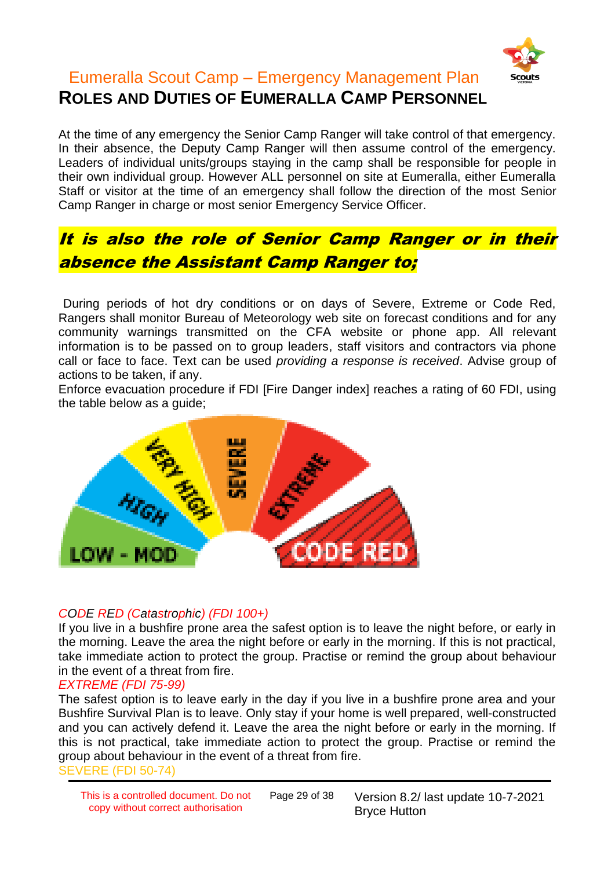

#### Eumeralla Scout Camp – Emergency Management Plan **ROLES AND DUTIES OF EUMERALLA CAMP PERSONNEL**

At the time of any emergency the Senior Camp Ranger will take control of that emergency. In their absence, the Deputy Camp Ranger will then assume control of the emergency. Leaders of individual units/groups staying in the camp shall be responsible for people in their own individual group. However ALL personnel on site at Eumeralla, either Eumeralla Staff or visitor at the time of an emergency shall follow the direction of the most Senior Camp Ranger in charge or most senior Emergency Service Officer.

### It is also the role of Senior Camp Ranger or in their absence the Assistant Camp Ranger to;

During periods of hot dry conditions or on days of Severe, Extreme or Code Red, Rangers shall monitor Bureau of Meteorology web site on forecast conditions and for any community warnings transmitted on the CFA website or phone app. All relevant information is to be passed on to group leaders, staff visitors and contractors via phone call or face to face. Text can be used *providing a response is received*. Advise group of actions to be taken, if any.

Enforce evacuation procedure if FDI [Fire Danger index] reaches a rating of 60 FDI, using the table below as a guide;



#### *CODE RED (Catastrophic) (FDI 100+)*

If you live in a bushfire prone area the safest option is to leave the night before, or early in the morning. Leave the area the night before or early in the morning. If this is not practical, take immediate action to protect the group. Practise or remind the group about behaviour in the event of a threat from fire.

#### *EXTREME (FDI 75-99)*

The safest option is to leave early in the day if you live in a bushfire prone area and your Bushfire Survival Plan is to leave. Only stay if your home is well prepared, well-constructed and you can actively defend it. Leave the area the night before or early in the morning. If this is not practical, take immediate action to protect the group. Practise or remind the group about behaviour in the event of a threat from fire. SEVERE (FDI 50-74)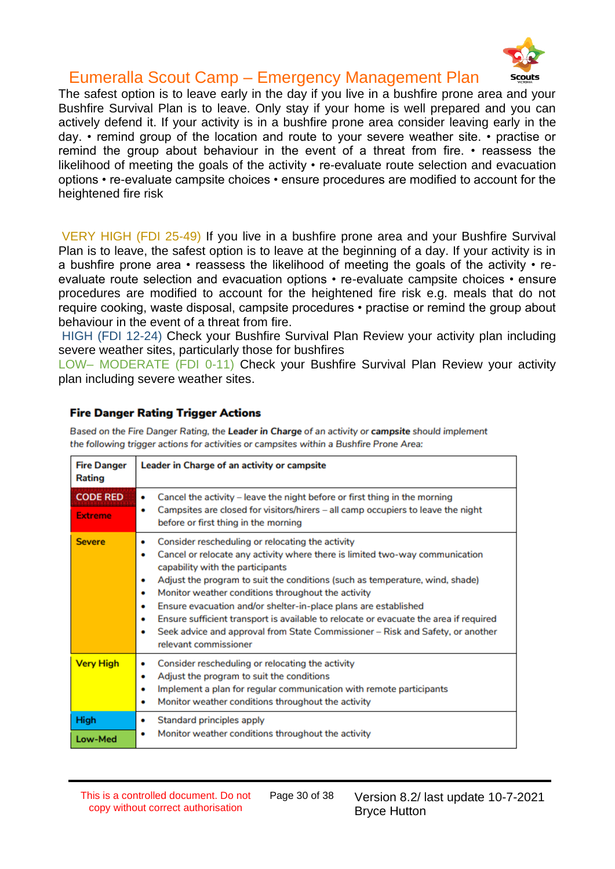

The safest option is to leave early in the day if you live in a bushfire prone area and your Bushfire Survival Plan is to leave. Only stay if your home is well prepared and you can actively defend it. If your activity is in a bushfire prone area consider leaving early in the day. • remind group of the location and route to your severe weather site. • practise or remind the group about behaviour in the event of a threat from fire. • reassess the likelihood of meeting the goals of the activity • re-evaluate route selection and evacuation options • re-evaluate campsite choices • ensure procedures are modified to account for the heightened fire risk

VERY HIGH (FDI 25-49) If you live in a bushfire prone area and your Bushfire Survival Plan is to leave, the safest option is to leave at the beginning of a day. If your activity is in a bushfire prone area • reassess the likelihood of meeting the goals of the activity • reevaluate route selection and evacuation options • re-evaluate campsite choices • ensure procedures are modified to account for the heightened fire risk e.g. meals that do not require cooking, waste disposal, campsite procedures • practise or remind the group about behaviour in the event of a threat from fire.

HIGH (FDI 12-24) Check your Bushfire Survival Plan Review your activity plan including severe weather sites, particularly those for bushfires

LOW– MODERATE (FDI 0-11) Check your Bushfire Survival Plan Review your activity plan including severe weather sites.

#### **Fire Danger Rating Trigger Actions**

| <b>Fire Danger</b><br>Rating      | Leader in Charge of an activity or campsite                                                                                                                                                                                                                                                                                                                                                                                                                                                                                                                                                                          |
|-----------------------------------|----------------------------------------------------------------------------------------------------------------------------------------------------------------------------------------------------------------------------------------------------------------------------------------------------------------------------------------------------------------------------------------------------------------------------------------------------------------------------------------------------------------------------------------------------------------------------------------------------------------------|
| <b>CODE RED</b><br><b>Extreme</b> | Cancel the activity - leave the night before or first thing in the morning<br>۰<br>Campsites are closed for visitors/hirers - all camp occupiers to leave the night<br>۰<br>before or first thing in the morning                                                                                                                                                                                                                                                                                                                                                                                                     |
| <b>Severe</b>                     | Consider rescheduling or relocating the activity<br>٠<br>Cancel or relocate any activity where there is limited two-way communication<br>۰<br>capability with the participants<br>Adjust the program to suit the conditions (such as temperature, wind, shade)<br>۰<br>Monitor weather conditions throughout the activity<br>۰<br>Ensure evacuation and/or shelter-in-place plans are established<br>۰<br>Ensure sufficient transport is available to relocate or evacuate the area if required<br>٠<br>Seek advice and approval from State Commissioner - Risk and Safety, or another<br>٠<br>relevant commissioner |
| <b>Very High</b>                  | Consider rescheduling or relocating the activity<br>۰<br>Adjust the program to suit the conditions<br>٠<br>Implement a plan for regular communication with remote participants<br>٠<br>Monitor weather conditions throughout the activity<br>٠                                                                                                                                                                                                                                                                                                                                                                       |
| High<br>Low-Med                   | Standard principles apply<br>۰<br>Monitor weather conditions throughout the activity<br>۰                                                                                                                                                                                                                                                                                                                                                                                                                                                                                                                            |

Based on the Fire Danger Rating, the Leader in Charge of an activity or campsite should implement the following trigger actions for activities or campsites within a Bushfire Prone Area: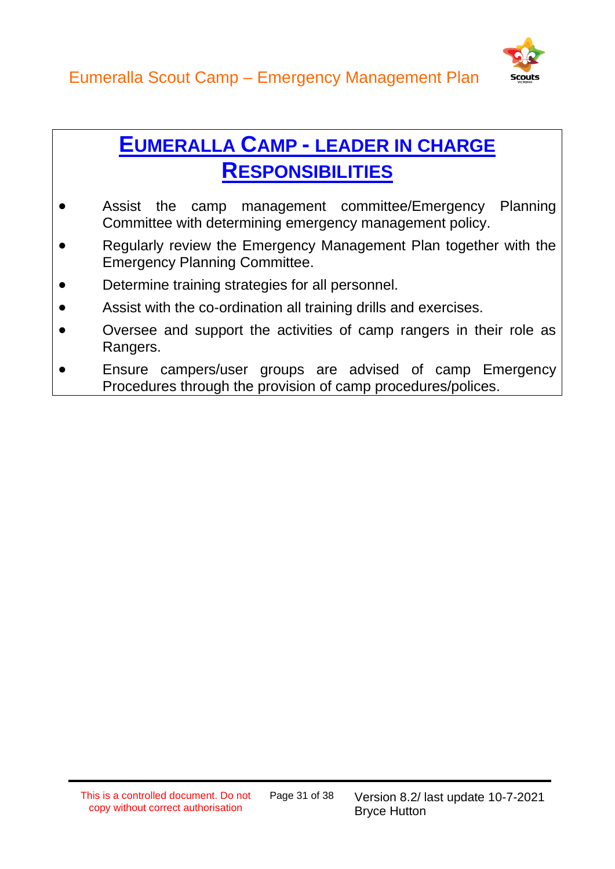

### **EUMERALLA CAMP - LEADER IN CHARGE RESPONSIBILITIES**

- Assist the camp management committee/Emergency Planning Committee with determining emergency management policy.
- Regularly review the Emergency Management Plan together with the Emergency Planning Committee.
- Determine training strategies for all personnel.
- Assist with the co-ordination all training drills and exercises.
- Oversee and support the activities of camp rangers in their role as Rangers.
- Ensure campers/user groups are advised of camp Emergency Procedures through the provision of camp procedures/polices.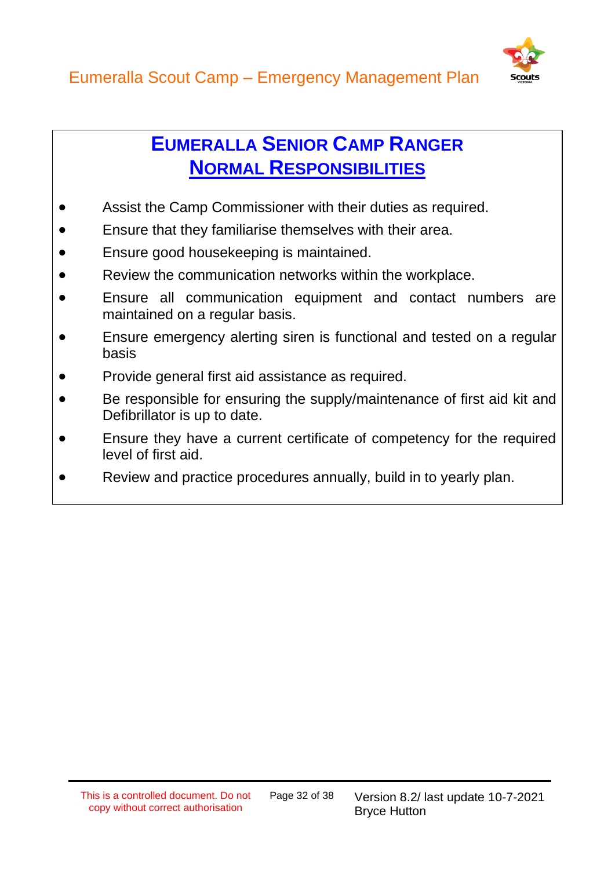

### **EUMERALLA SENIOR CAMP RANGER NORMAL RESPONSIBILITIES**

- Assist the Camp Commissioner with their duties as required.
- Ensure that they familiarise themselves with their area.
- Ensure good housekeeping is maintained.
- Review the communication networks within the workplace.
- Ensure all communication equipment and contact numbers are maintained on a regular basis.
- Ensure emergency alerting siren is functional and tested on a regular basis
- Provide general first aid assistance as required.
- Be responsible for ensuring the supply/maintenance of first aid kit and Defibrillator is up to date.
- Ensure they have a current certificate of competency for the required level of first aid.
- Review and practice procedures annually, build in to yearly plan.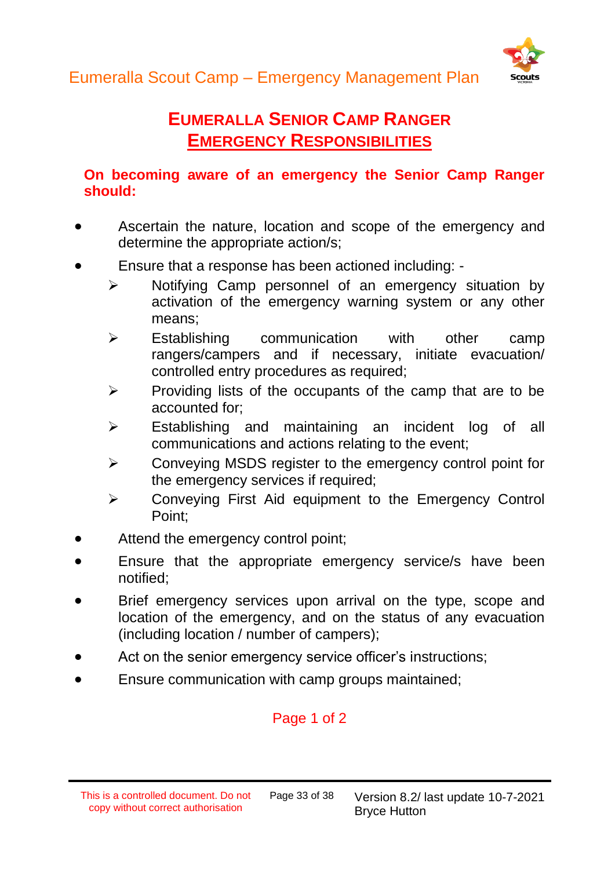

### **EUMERALLA SENIOR CAMP RANGER EMERGENCY RESPONSIBILITIES**

#### **On becoming aware of an emergency the Senior Camp Ranger should:**

- Ascertain the nature, location and scope of the emergency and determine the appropriate action/s;
- Ensure that a response has been actioned including:
	- ➢ Notifying Camp personnel of an emergency situation by activation of the emergency warning system or any other means;
	- ➢ Establishing communication with other camp rangers/campers and if necessary, initiate evacuation/ controlled entry procedures as required;
	- $\triangleright$  Providing lists of the occupants of the camp that are to be accounted for;
	- ➢ Establishing and maintaining an incident log of all communications and actions relating to the event;
	- ➢ Conveying MSDS register to the emergency control point for the emergency services if required;
	- ➢ Conveying First Aid equipment to the Emergency Control Point;
- Attend the emergency control point;
- Ensure that the appropriate emergency service/s have been notified;
- Brief emergency services upon arrival on the type, scope and location of the emergency, and on the status of any evacuation (including location / number of campers);
- Act on the senior emergency service officer's instructions;
- Ensure communication with camp groups maintained;

#### Page 1 of 2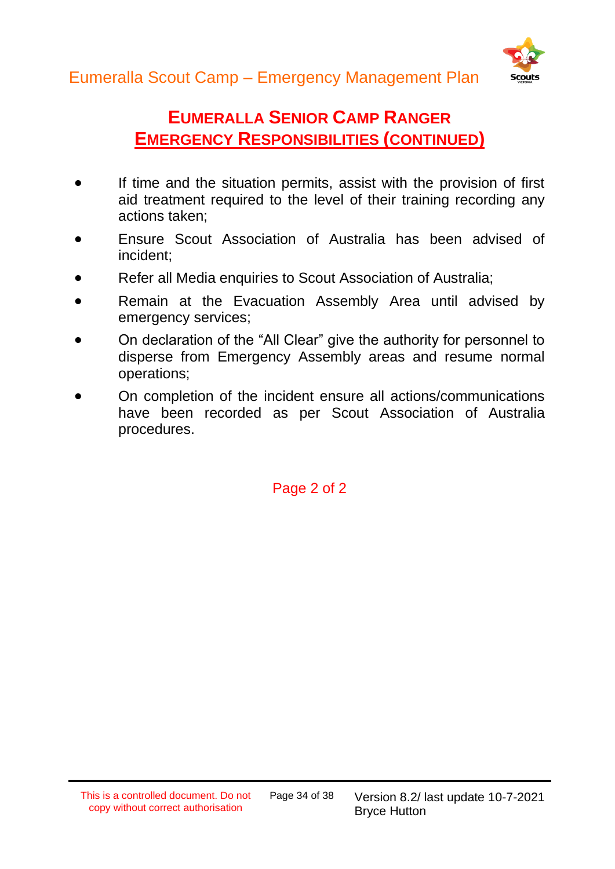

### **EUMERALLA SENIOR CAMP RANGER EMERGENCY RESPONSIBILITIES (CONTINUED)**

- If time and the situation permits, assist with the provision of first aid treatment required to the level of their training recording any actions taken;
- Ensure Scout Association of Australia has been advised of incident;
- Refer all Media enquiries to Scout Association of Australia;
- Remain at the Evacuation Assembly Area until advised by emergency services;
- On declaration of the "All Clear" give the authority for personnel to disperse from Emergency Assembly areas and resume normal operations;
- On completion of the incident ensure all actions/communications have been recorded as per Scout Association of Australia procedures.

Page 2 of 2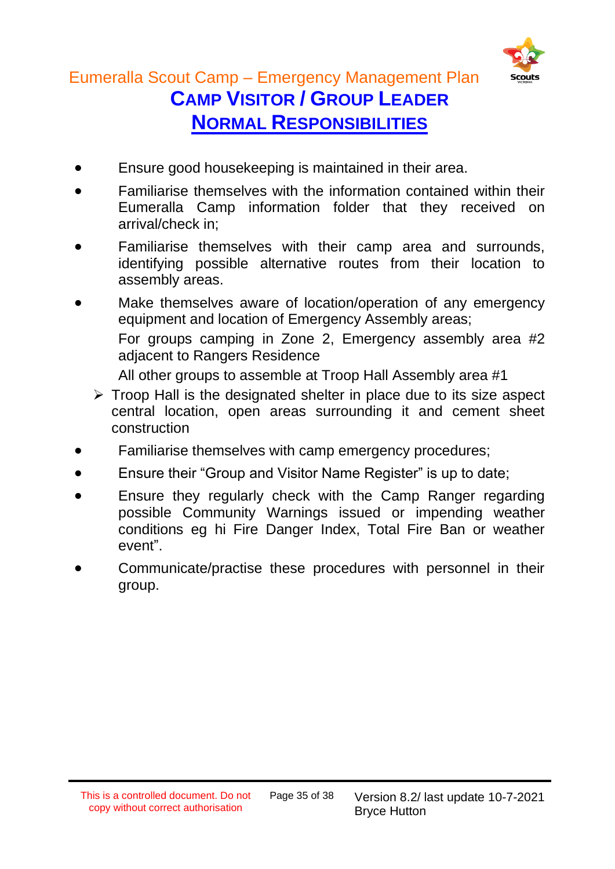

#### Eumeralla Scout Camp – Emergency Management Plan **CAMP VISITOR / GROUP LEADER**

**NORMAL RESPONSIBILITIES**

- Ensure good housekeeping is maintained in their area.
- Familiarise themselves with the information contained within their Eumeralla Camp information folder that they received on arrival/check in;
- Familiarise themselves with their camp area and surrounds, identifying possible alternative routes from their location to assembly areas.
- Make themselves aware of location/operation of any emergency equipment and location of Emergency Assembly areas; For groups camping in Zone 2, Emergency assembly area #2 adjacent to Rangers Residence All other groups to assemble at Troop Hall Assembly area #1
	- ➢ Troop Hall is the designated shelter in place due to its size aspect central location, open areas surrounding it and cement sheet construction
- Familiarise themselves with camp emergency procedures;
- Ensure their "Group and Visitor Name Register" is up to date;
- Ensure they regularly check with the Camp Ranger regarding possible Community Warnings issued or impending weather conditions eg hi Fire Danger Index, Total Fire Ban or weather event".
- Communicate/practise these procedures with personnel in their group.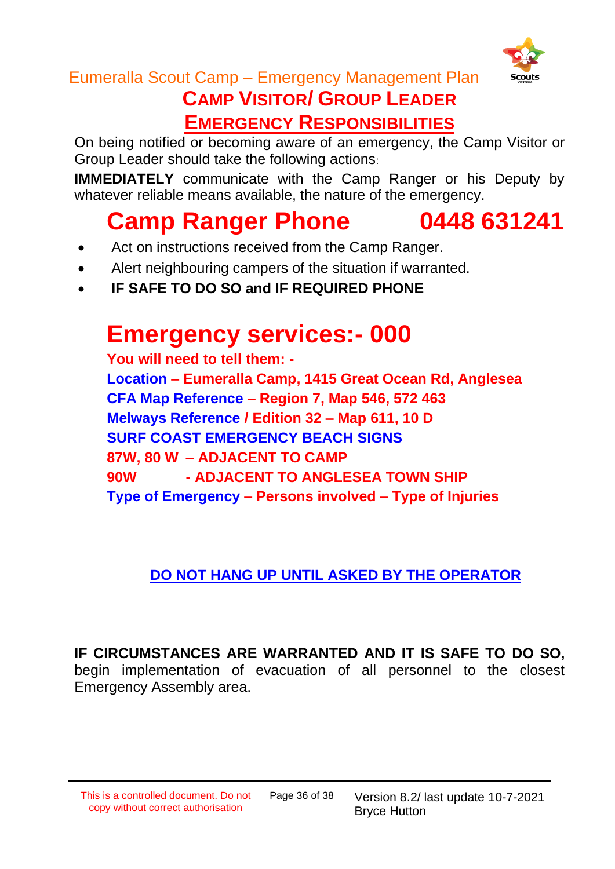

## **CAMP VISITOR/ GROUP LEADER**

**EMERGENCY RESPONSIBILITIES**

On being notified or becoming aware of an emergency, the Camp Visitor or Group Leader should take the following actions:

**IMMEDIATELY** communicate with the Camp Ranger or his Deputy by whatever reliable means available, the nature of the emergency.

### **Camp Ranger Phone 0448 631241**

- Act on instructions received from the Camp Ranger.
- Alert neighbouring campers of the situation if warranted.
- **IF SAFE TO DO SO and IF REQUIRED PHONE**

### **Emergency services:- 000**

**You will need to tell them: - Location – Eumeralla Camp, 1415 Great Ocean Rd, Anglesea CFA Map Reference – Region 7, Map 546, 572 463 Melways Reference / Edition 32 – Map 611, 10 D SURF COAST EMERGENCY BEACH SIGNS 87W, 80 W – ADJACENT TO CAMP 90W - ADJACENT TO ANGLESEA TOWN SHIP Type of Emergency – Persons involved – Type of Injuries**

#### **DO NOT HANG UP UNTIL ASKED BY THE OPERATOR**

**IF CIRCUMSTANCES ARE WARRANTED AND IT IS SAFE TO DO SO,** begin implementation of evacuation of all personnel to the closest Emergency Assembly area.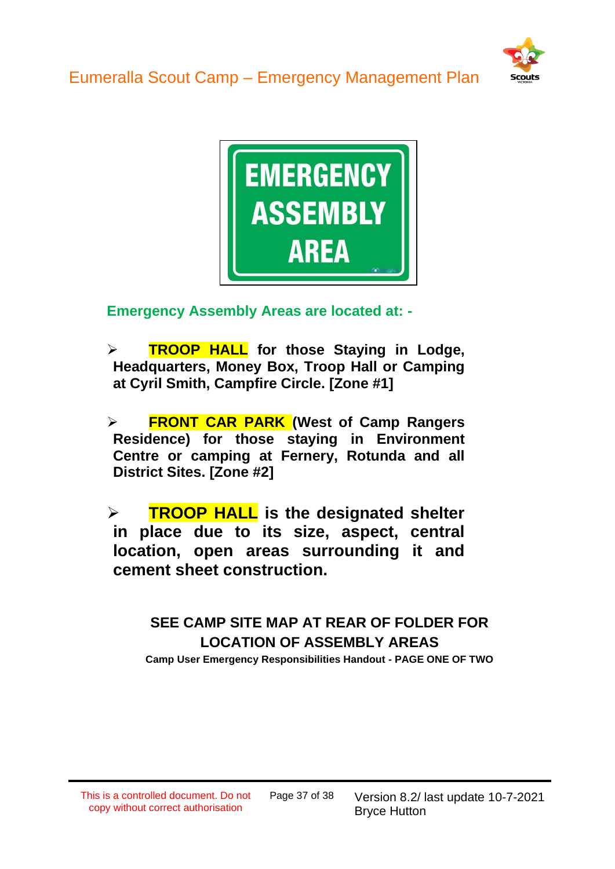



**Emergency Assembly Areas are located at: -**

➢ **TROOP HALL for those Staying in Lodge, Headquarters, Money Box, Troop Hall or Camping at Cyril Smith, Campfire Circle. [Zone #1]**

➢ **FRONT CAR PARK (West of Camp Rangers Residence) for those staying in Environment Centre or camping at Fernery, Rotunda and all District Sites. [Zone #2]**

➢ **TROOP HALL is the designated shelter in place due to its size, aspect, central location, open areas surrounding it and cement sheet construction.**

> **SEE CAMP SITE MAP AT REAR OF FOLDER FOR LOCATION OF ASSEMBLY AREAS Camp User Emergency Responsibilities Handout - PAGE ONE OF TWO**